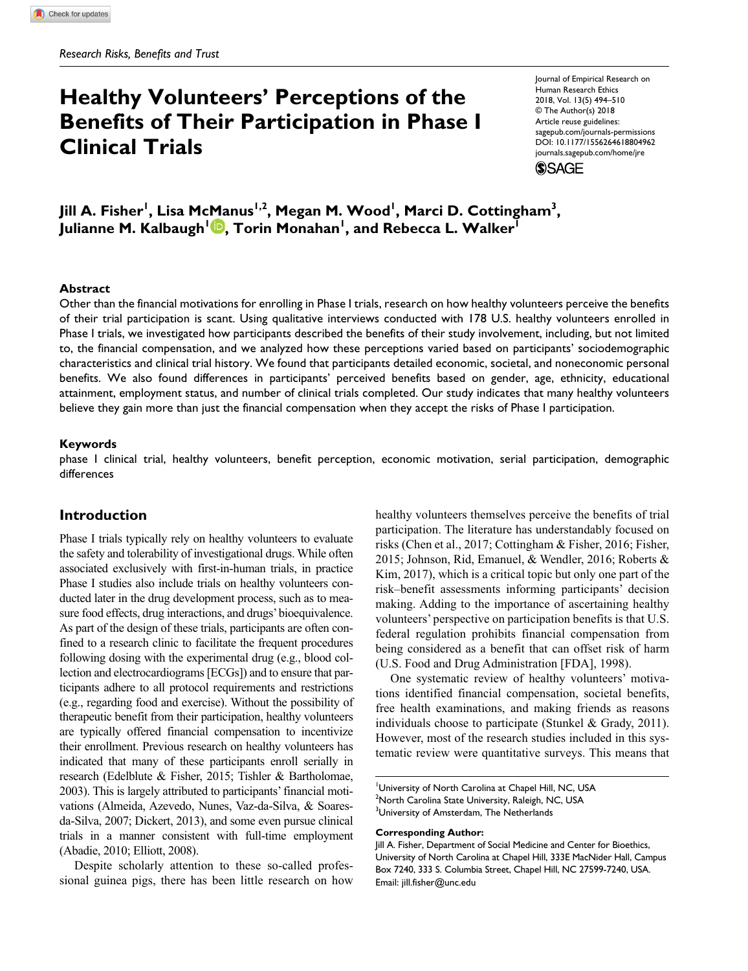# **Healthy Volunteers' Perceptions of the Benefits of Their Participation in Phase I Clinical Trials**

Journal of Empirical Research on Human Research Ethics 2018, Vol. 13(5) 494–510 © The Author(s) 2018 Article reuse guidelines: [sagepub.com/journals-permissions](https://us.sagepub.com/en-us/journals-permissions) https://doi.org/10.1177/1556264618804962 DOI: 10.1177/1556264618804962 [journals.sagepub.com/home/jre](https://journals.sagepub.com/home/jre) **SSAGE** 

Jill A. Fisher<sup>!</sup>, Lisa McManus<sup>!,2</sup>, Megan M. Wood<sup>!</sup>, Marci D. Cottingham<sup>3</sup>, **Julianne M. Kalbaugh<sup>1</sup> , Torin Monahan1 , and Rebecca L. Walker1**

## **Abstract**

Other than the financial motivations for enrolling in Phase I trials, research on how healthy volunteers perceive the benefits of their trial participation is scant. Using qualitative interviews conducted with 178 U.S. healthy volunteers enrolled in Phase I trials, we investigated how participants described the benefits of their study involvement, including, but not limited to, the financial compensation, and we analyzed how these perceptions varied based on participants' sociodemographic characteristics and clinical trial history. We found that participants detailed economic, societal, and noneconomic personal benefits. We also found differences in participants' perceived benefits based on gender, age, ethnicity, educational attainment, employment status, and number of clinical trials completed. Our study indicates that many healthy volunteers believe they gain more than just the financial compensation when they accept the risks of Phase I participation.

#### **Keywords**

phase I clinical trial, healthy volunteers, benefit perception, economic motivation, serial participation, demographic differences

## **Introduction**

Phase I trials typically rely on healthy volunteers to evaluate the safety and tolerability of investigational drugs. While often associated exclusively with first-in-human trials, in practice Phase I studies also include trials on healthy volunteers conducted later in the drug development process, such as to measure food effects, drug interactions, and drugs' bioequivalence. As part of the design of these trials, participants are often confined to a research clinic to facilitate the frequent procedures following dosing with the experimental drug (e.g., blood collection and electrocardiograms [ECGs]) and to ensure that participants adhere to all protocol requirements and restrictions (e.g., regarding food and exercise). Without the possibility of therapeutic benefit from their participation, healthy volunteers are typically offered financial compensation to incentivize their enrollment. Previous research on healthy volunteers has indicated that many of these participants enroll serially in research (Edelblute & Fisher, 2015; Tishler & Bartholomae, 2003). This is largely attributed to participants' financial motivations (Almeida, Azevedo, Nunes, Vaz-da-Silva, & Soaresda-Silva, 2007; Dickert, 2013), and some even pursue clinical trials in a manner consistent with full-time employment (Abadie, 2010; Elliott, 2008).

Despite scholarly attention to these so-called professional guinea pigs, there has been little research on how

healthy volunteers themselves perceive the benefits of trial participation. The literature has understandably focused on risks (Chen et al., 2017; Cottingham & Fisher, 2016; Fisher, 2015; Johnson, Rid, Emanuel, & Wendler, 2016; Roberts & Kim, 2017), which is a critical topic but only one part of the risk–benefit assessments informing participants' decision making. Adding to the importance of ascertaining healthy volunteers' perspective on participation benefits is that U.S. federal regulation prohibits financial compensation from being considered as a benefit that can offset risk of harm (U.S. Food and Drug Administration [FDA], 1998).

One systematic review of healthy volunteers' motivations identified financial compensation, societal benefits, free health examinations, and making friends as reasons individuals choose to participate (Stunkel & Grady, 2011). However, most of the research studies included in this systematic review were quantitative surveys. This means that

#### **Corresponding Author:**

University of North Carolina at Chapel Hill, NC, USA  $^{2}$ North Carolina State University, Raleigh, NC, USA <sup>3</sup>University of Amsterdam, The Netherlands

Jill A. Fisher, Department of Social Medicine and Center for Bioethics, University of North Carolina at Chapel Hill, 333E MacNider Hall, Campus Box 7240, 333 S. Columbia Street, Chapel Hill, NC 27599-7240, USA. Email: [jill.fisher@unc.edu](mailto:jill.fisher@unc.edu)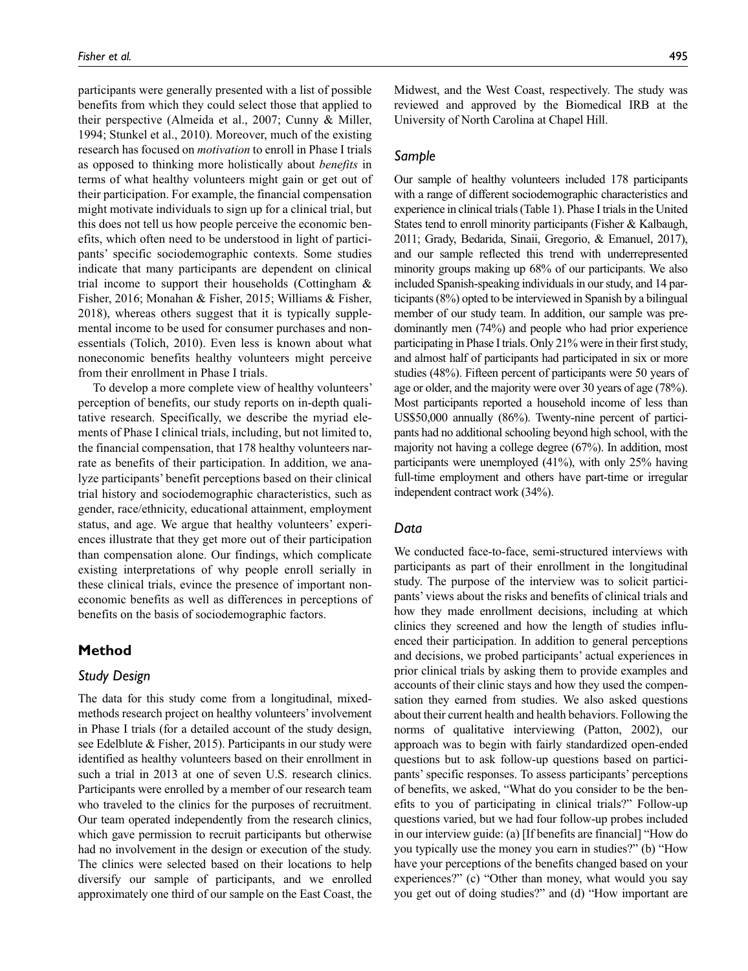participants were generally presented with a list of possible benefits from which they could select those that applied to their perspective (Almeida et al., 2007; Cunny & Miller, 1994; Stunkel et al., 2010). Moreover, much of the existing research has focused on *motivation* to enroll in Phase I trials as opposed to thinking more holistically about *benefits* in terms of what healthy volunteers might gain or get out of their participation. For example, the financial compensation might motivate individuals to sign up for a clinical trial, but this does not tell us how people perceive the economic benefits, which often need to be understood in light of participants' specific sociodemographic contexts. Some studies indicate that many participants are dependent on clinical trial income to support their households (Cottingham & Fisher, 2016; Monahan & Fisher, 2015; Williams & Fisher, 2018), whereas others suggest that it is typically supplemental income to be used for consumer purchases and nonessentials (Tolich, 2010). Even less is known about what noneconomic benefits healthy volunteers might perceive from their enrollment in Phase I trials.

To develop a more complete view of healthy volunteers' perception of benefits, our study reports on in-depth qualitative research. Specifically, we describe the myriad elements of Phase I clinical trials, including, but not limited to, the financial compensation, that 178 healthy volunteers narrate as benefits of their participation. In addition, we analyze participants' benefit perceptions based on their clinical trial history and sociodemographic characteristics, such as gender, race/ethnicity, educational attainment, employment status, and age. We argue that healthy volunteers' experiences illustrate that they get more out of their participation than compensation alone. Our findings, which complicate existing interpretations of why people enroll serially in these clinical trials, evince the presence of important noneconomic benefits as well as differences in perceptions of benefits on the basis of sociodemographic factors.

## **Method**

## *Study Design*

The data for this study come from a longitudinal, mixedmethods research project on healthy volunteers' involvement in Phase I trials (for a detailed account of the study design, see Edelblute & Fisher, 2015). Participants in our study were identified as healthy volunteers based on their enrollment in such a trial in 2013 at one of seven U.S. research clinics. Participants were enrolled by a member of our research team who traveled to the clinics for the purposes of recruitment. Our team operated independently from the research clinics, which gave permission to recruit participants but otherwise had no involvement in the design or execution of the study. The clinics were selected based on their locations to help diversify our sample of participants, and we enrolled approximately one third of our sample on the East Coast, the Midwest, and the West Coast, respectively. The study was reviewed and approved by the Biomedical IRB at the University of North Carolina at Chapel Hill.

## *Sample*

Our sample of healthy volunteers included 178 participants with a range of different sociodemographic characteristics and experience in clinical trials (Table 1). Phase I trials in the United States tend to enroll minority participants (Fisher & Kalbaugh, 2011; Grady, Bedarida, Sinaii, Gregorio, & Emanuel, 2017), and our sample reflected this trend with underrepresented minority groups making up 68% of our participants. We also included Spanish-speaking individuals in our study, and 14 participants (8%) opted to be interviewed in Spanish by a bilingual member of our study team. In addition, our sample was predominantly men (74%) and people who had prior experience participating in Phase I trials. Only 21% were in their first study, and almost half of participants had participated in six or more studies (48%). Fifteen percent of participants were 50 years of age or older, and the majority were over 30 years of age (78%). Most participants reported a household income of less than US\$50,000 annually (86%). Twenty-nine percent of participants had no additional schooling beyond high school, with the majority not having a college degree (67%). In addition, most participants were unemployed (41%), with only 25% having full-time employment and others have part-time or irregular independent contract work (34%).

## *Data*

We conducted face-to-face, semi-structured interviews with participants as part of their enrollment in the longitudinal study. The purpose of the interview was to solicit participants' views about the risks and benefits of clinical trials and how they made enrollment decisions, including at which clinics they screened and how the length of studies influenced their participation. In addition to general perceptions and decisions, we probed participants' actual experiences in prior clinical trials by asking them to provide examples and accounts of their clinic stays and how they used the compensation they earned from studies. We also asked questions about their current health and health behaviors. Following the norms of qualitative interviewing (Patton, 2002), our approach was to begin with fairly standardized open-ended questions but to ask follow-up questions based on participants' specific responses. To assess participants' perceptions of benefits, we asked, "What do you consider to be the benefits to you of participating in clinical trials?" Follow-up questions varied, but we had four follow-up probes included in our interview guide: (a) [If benefits are financial] "How do you typically use the money you earn in studies?" (b) "How have your perceptions of the benefits changed based on your experiences?" (c) "Other than money, what would you say you get out of doing studies?" and (d) "How important are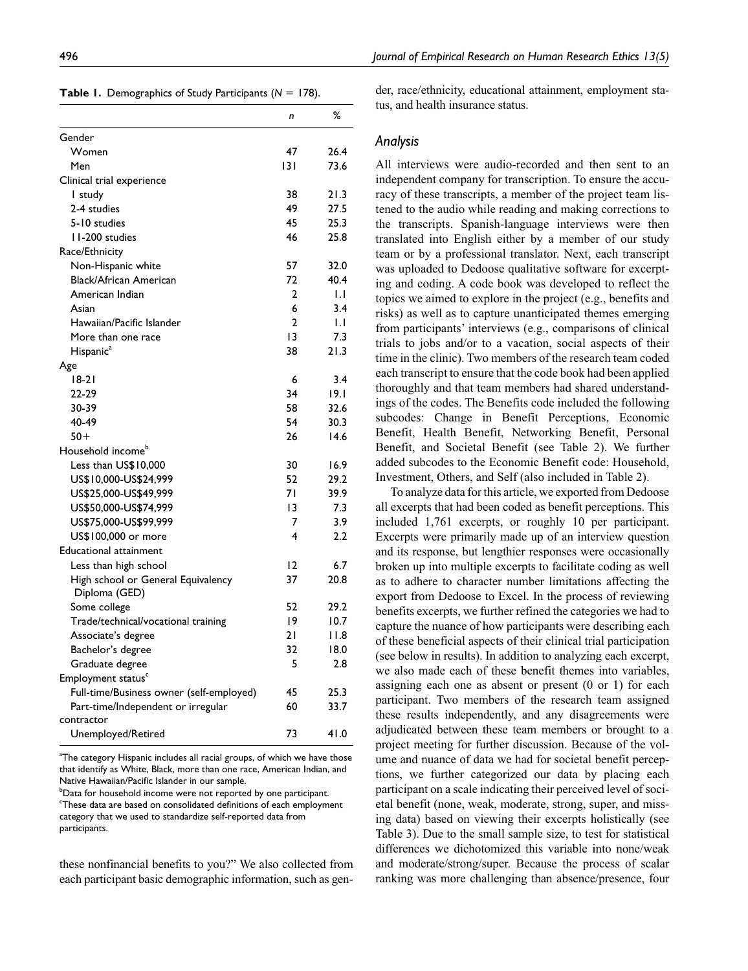**Table 1.** Demographics of Study Participants (*N* = 178).

|                                          | n               | %            |
|------------------------------------------|-----------------|--------------|
| Gender                                   |                 |              |
| Women                                    | 47              | 26.4         |
| Men                                      | 131             | 73.6         |
| Clinical trial experience                |                 |              |
| l study                                  | 38              | 21.3         |
| 2-4 studies                              | 49              | 27.5         |
| 5-10 studies                             | 45              | 25.3         |
| 11-200 studies                           | 46              | 25.8         |
| Race/Ethnicity                           |                 |              |
| Non-Hispanic white                       | 57              | 32.0         |
| Black/African American                   | 72              | 40.4         |
| American Indian                          | $\overline{2}$  | IJ           |
| Asian                                    | 6               | 3.4          |
| Hawaiian/Pacific Islander                | $\overline{2}$  | $\mathbf{L}$ |
| More than one race                       | $\overline{13}$ | 7.3          |
| Hispanic <sup>a</sup>                    | 38              | 21.3         |
| Age                                      |                 |              |
| $18-21$                                  | 6               | 3.4          |
| 22-29                                    | 34              | 19.I         |
| 30-39                                    | 58              | 32.6         |
| 40-49                                    | 54              | 30.3         |
| $50+$                                    | 26              | 14.6         |
| Household income <sup>b</sup>            |                 |              |
| Less than US\$10,000                     | 30              | 16.9         |
| US\$10,000-US\$24,999                    | 52              | 29.2         |
| US\$25,000-US\$49,999                    | 71              | 39.9         |
| US\$50,000-US\$74,999                    | 13              | 7.3          |
| US\$75,000-US\$99,999                    | 7               | 3.9          |
| US\$100,000 or more                      | 4               | 2.2          |
| <b>Educational attainment</b>            |                 |              |
| Less than high school                    | 12              | 6.7          |
| High school or General Equivalency       | 37              | 20.8         |
| Diploma (GED)                            |                 |              |
| Some college                             | 52              | 29.2         |
| Trade/technical/vocational training      | 19              | 10.7         |
| Associate's degree                       | 21              | 11.8         |
| Bachelor's degree                        | 32              | 18.0         |
| Graduate degree                          | 5               | 2.8          |
| Employment status <sup>c</sup>           |                 |              |
| Full-time/Business owner (self-employed) | 45              | 25.3         |
| Part-time/Independent or irregular       | 60              | 33.7         |
| contractor                               |                 |              |
| Unemployed/Retired                       | 73              | 41.0         |

<sup>a</sup>The category Hispanic includes all racial groups, of which we have those that identify as White, Black, more than one race, American Indian, and Native Hawaiian/Pacific Islander in our sample.

**Data for household income were not reported by one participant.** <sup>c</sup>These data are based on consolidated definitions of each employment category that we used to standardize self-reported data from participants.

these nonfinancial benefits to you?" We also collected from each participant basic demographic information, such as gender, race/ethnicity, educational attainment, employment status, and health insurance status.

## *Analysis*

All interviews were audio-recorded and then sent to an independent company for transcription. To ensure the accuracy of these transcripts, a member of the project team listened to the audio while reading and making corrections to the transcripts. Spanish-language interviews were then translated into English either by a member of our study team or by a professional translator. Next, each transcript was uploaded to Dedoose qualitative software for excerpting and coding. A code book was developed to reflect the topics we aimed to explore in the project (e.g., benefits and risks) as well as to capture unanticipated themes emerging from participants' interviews (e.g., comparisons of clinical trials to jobs and/or to a vacation, social aspects of their time in the clinic). Two members of the research team coded each transcript to ensure that the code book had been applied thoroughly and that team members had shared understandings of the codes. The Benefits code included the following subcodes: Change in Benefit Perceptions, Economic Benefit, Health Benefit, Networking Benefit, Personal Benefit, and Societal Benefit (see Table 2). We further added subcodes to the Economic Benefit code: Household, Investment, Others, and Self (also included in Table 2).

To analyze data for this article, we exported from Dedoose all excerpts that had been coded as benefit perceptions. This included 1,761 excerpts, or roughly 10 per participant. Excerpts were primarily made up of an interview question and its response, but lengthier responses were occasionally broken up into multiple excerpts to facilitate coding as well as to adhere to character number limitations affecting the export from Dedoose to Excel. In the process of reviewing benefits excerpts, we further refined the categories we had to capture the nuance of how participants were describing each of these beneficial aspects of their clinical trial participation (see below in results). In addition to analyzing each excerpt, we also made each of these benefit themes into variables, assigning each one as absent or present (0 or 1) for each participant. Two members of the research team assigned these results independently, and any disagreements were adjudicated between these team members or brought to a project meeting for further discussion. Because of the volume and nuance of data we had for societal benefit perceptions, we further categorized our data by placing each participant on a scale indicating their perceived level of societal benefit (none, weak, moderate, strong, super, and missing data) based on viewing their excerpts holistically (see Table 3). Due to the small sample size, to test for statistical differences we dichotomized this variable into none/weak and moderate/strong/super. Because the process of scalar ranking was more challenging than absence/presence, four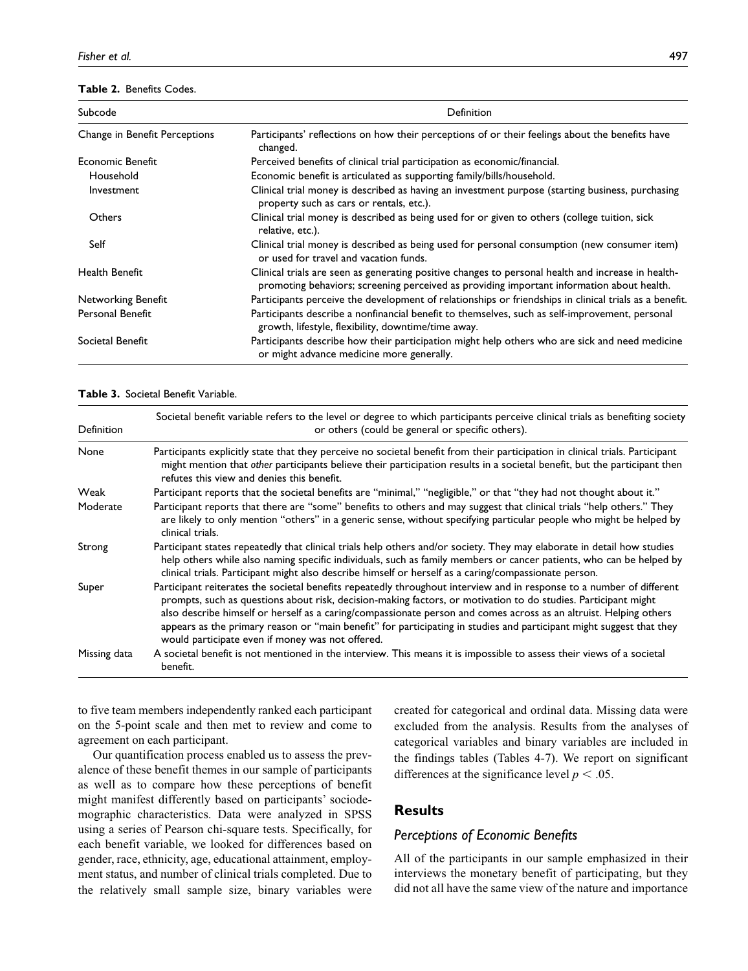## **Table 2.** Benefits Codes.

| Subcode                       | Definition                                                                                                                                                                                      |  |  |  |  |  |  |  |
|-------------------------------|-------------------------------------------------------------------------------------------------------------------------------------------------------------------------------------------------|--|--|--|--|--|--|--|
| Change in Benefit Perceptions | Participants' reflections on how their perceptions of or their feelings about the benefits have<br>changed.                                                                                     |  |  |  |  |  |  |  |
| Economic Benefit              | Perceived benefits of clinical trial participation as economic/financial.                                                                                                                       |  |  |  |  |  |  |  |
| Household                     | Economic benefit is articulated as supporting family/bills/household.                                                                                                                           |  |  |  |  |  |  |  |
| Investment                    | Clinical trial money is described as having an investment purpose (starting business, purchasing<br>property such as cars or rentals, etc.).                                                    |  |  |  |  |  |  |  |
| Others                        | Clinical trial money is described as being used for or given to others (college tuition, sick<br>relative, etc.).                                                                               |  |  |  |  |  |  |  |
| Self                          | Clinical trial money is described as being used for personal consumption (new consumer item)<br>or used for travel and vacation funds.                                                          |  |  |  |  |  |  |  |
| Health Benefit                | Clinical trials are seen as generating positive changes to personal health and increase in health-<br>promoting behaviors; screening perceived as providing important information about health. |  |  |  |  |  |  |  |
| Networking Benefit            | Participants perceive the development of relationships or friendships in clinical trials as a benefit.                                                                                          |  |  |  |  |  |  |  |
| Personal Benefit              | Participants describe a nonfinancial benefit to themselves, such as self-improvement, personal<br>growth, lifestyle, flexibility, downtime/time away.                                           |  |  |  |  |  |  |  |
| Societal Benefit              | Participants describe how their participation might help others who are sick and need medicine<br>or might advance medicine more generally.                                                     |  |  |  |  |  |  |  |

## **Table 3.** Societal Benefit Variable.

| Definition   | Societal benefit variable refers to the level or degree to which participants perceive clinical trials as benefiting society<br>or others (could be general or specific others).                                                                                                                                                                                                                                                                                                                                                         |
|--------------|------------------------------------------------------------------------------------------------------------------------------------------------------------------------------------------------------------------------------------------------------------------------------------------------------------------------------------------------------------------------------------------------------------------------------------------------------------------------------------------------------------------------------------------|
| None         | Participants explicitly state that they perceive no societal benefit from their participation in clinical trials. Participant<br>might mention that other participants believe their participation results in a societal benefit, but the participant then<br>refutes this view and denies this benefit.                                                                                                                                                                                                                                 |
| Weak         | Participant reports that the societal benefits are "minimal," "negligible," or that "they had not thought about it."                                                                                                                                                                                                                                                                                                                                                                                                                     |
| Moderate     | Participant reports that there are "some" benefits to others and may suggest that clinical trials "help others." They<br>are likely to only mention "others" in a generic sense, without specifying particular people who might be helped by<br>clinical trials.                                                                                                                                                                                                                                                                         |
| Strong       | Participant states repeatedly that clinical trials help others and/or society. They may elaborate in detail how studies<br>help others while also naming specific individuals, such as family members or cancer patients, who can be helped by<br>clinical trials. Participant might also describe himself or herself as a caring/compassionate person.                                                                                                                                                                                  |
| Super        | Participant reiterates the societal benefits repeatedly throughout interview and in response to a number of different<br>prompts, such as questions about risk, decision-making factors, or motivation to do studies. Participant might<br>also describe himself or herself as a caring/compassionate person and comes across as an altruist. Helping others<br>appears as the primary reason or "main benefit" for participating in studies and participant might suggest that they<br>would participate even if money was not offered. |
| Missing data | A societal benefit is not mentioned in the interview. This means it is impossible to assess their views of a societal<br>benefit.                                                                                                                                                                                                                                                                                                                                                                                                        |

to five team members independently ranked each participant on the 5-point scale and then met to review and come to agreement on each participant.

Our quantification process enabled us to assess the prevalence of these benefit themes in our sample of participants as well as to compare how these perceptions of benefit might manifest differently based on participants' sociodemographic characteristics. Data were analyzed in SPSS using a series of Pearson chi-square tests. Specifically, for each benefit variable, we looked for differences based on gender, race, ethnicity, age, educational attainment, employment status, and number of clinical trials completed. Due to the relatively small sample size, binary variables were

created for categorical and ordinal data. Missing data were excluded from the analysis. Results from the analyses of categorical variables and binary variables are included in the findings tables (Tables 4-7). We report on significant differences at the significance level  $p < .05$ .

# **Results**

# *Perceptions of Economic Benefits*

All of the participants in our sample emphasized in their interviews the monetary benefit of participating, but they did not all have the same view of the nature and importance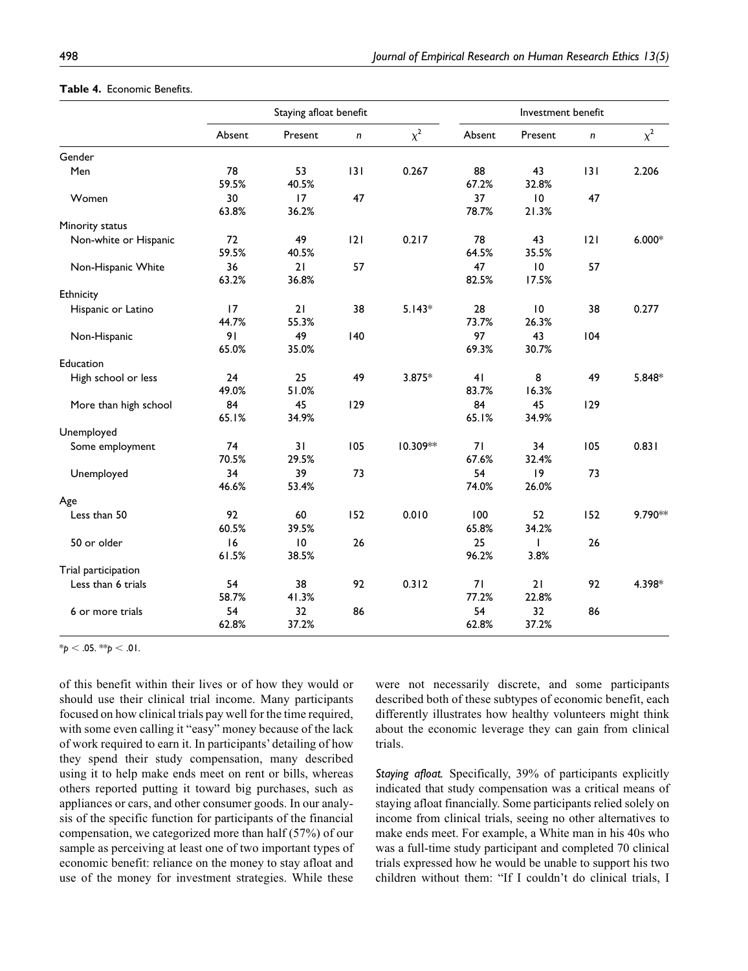|                       | Staying afloat benefit |             |     |          | Investment benefit |                          |     |          |  |
|-----------------------|------------------------|-------------|-----|----------|--------------------|--------------------------|-----|----------|--|
|                       | Absent                 | Present     | n   | $\chi^2$ | Absent             | Present                  | n   | $\chi^2$ |  |
| Gender                |                        |             |     |          |                    |                          |     |          |  |
| Men                   | 78<br>59.5%            | 53<br>40.5% | 3   | 0.267    | 88<br>67.2%        | 43<br>32.8%              | 3   | 2.206    |  |
| Women                 | 30<br>63.8%            | 17<br>36.2% | 47  |          | 37<br>78.7%        | $\overline{10}$<br>21.3% | 47  |          |  |
| Minority status       |                        |             |     |          |                    |                          |     |          |  |
| Non-white or Hispanic | 72<br>59.5%            | 49<br>40.5% | 2   | 0.217    | 78<br>64.5%        | 43<br>35.5%              | 2   | $6.000*$ |  |
| Non-Hispanic White    | 36<br>63.2%            | 21<br>36.8% | 57  |          | 47<br>82.5%        | $\overline{10}$<br>17.5% | 57  |          |  |
| Ethnicity             |                        |             |     |          |                    |                          |     |          |  |
| Hispanic or Latino    | 17<br>44.7%            | 21<br>55.3% | 38  | $5.143*$ | 28<br>73.7%        | $\overline{10}$<br>26.3% | 38  | 0.277    |  |
| Non-Hispanic          | 91<br>65.0%            | 49<br>35.0% | 140 |          | 97<br>69.3%        | 43<br>30.7%              | 104 |          |  |
| Education             |                        |             |     |          |                    |                          |     |          |  |
| High school or less   | 24<br>49.0%            | 25<br>51.0% | 49  | 3.875*   | 41<br>83.7%        | 8<br>16.3%               | 49  | 5.848*   |  |
| More than high school | 84<br>65.1%            | 45<br>34.9% | 129 |          | 84<br>65.1%        | 45<br>34.9%              | 129 |          |  |
| Unemployed            |                        |             |     |          |                    |                          |     |          |  |
| Some employment       | 74<br>70.5%            | 31<br>29.5% | 105 | 10.309** | 71<br>67.6%        | 34<br>32.4%              | 105 | 0.831    |  |
| Unemployed            | 34<br>46.6%            | 39<br>53.4% | 73  |          | 54<br>74.0%        | 9<br>26.0%               | 73  |          |  |
| Age                   |                        |             |     |          |                    |                          |     |          |  |
| Less than 50          | 92<br>60.5%            | 60<br>39.5% | 152 | 0.010    | 100<br>65.8%       | 52<br>34.2%              | 152 | 9.790**  |  |
| 50 or older           | 16<br>61.5%            | 10<br>38.5% | 26  |          | 25<br>96.2%        | T<br>3.8%                | 26  |          |  |
| Trial participation   |                        |             |     |          |                    |                          |     |          |  |
| Less than 6 trials    | 54<br>58.7%            | 38<br>41.3% | 92  | 0.312    | 71<br>77.2%        | 21<br>22.8%              | 92  | 4.398*   |  |
| 6 or more trials      | 54<br>62.8%            | 32<br>37.2% | 86  |          | 54<br>62.8%        | 32<br>37.2%              | 86  |          |  |

## **Table 4.** Economic Benefits.

 $*_{p}$  < .05.  $*_{p}$  < .01.

of this benefit within their lives or of how they would or should use their clinical trial income. Many participants focused on how clinical trials pay well for the time required, with some even calling it "easy" money because of the lack of work required to earn it. In participants' detailing of how they spend their study compensation, many described using it to help make ends meet on rent or bills, whereas others reported putting it toward big purchases, such as appliances or cars, and other consumer goods. In our analysis of the specific function for participants of the financial compensation, we categorized more than half (57%) of our sample as perceiving at least one of two important types of economic benefit: reliance on the money to stay afloat and use of the money for investment strategies. While these

were not necessarily discrete, and some participants described both of these subtypes of economic benefit, each differently illustrates how healthy volunteers might think about the economic leverage they can gain from clinical trials.

*Staying afloat.* Specifically, 39% of participants explicitly indicated that study compensation was a critical means of staying afloat financially. Some participants relied solely on income from clinical trials, seeing no other alternatives to make ends meet. For example, a White man in his 40s who was a full-time study participant and completed 70 clinical trials expressed how he would be unable to support his two children without them: "If I couldn't do clinical trials, I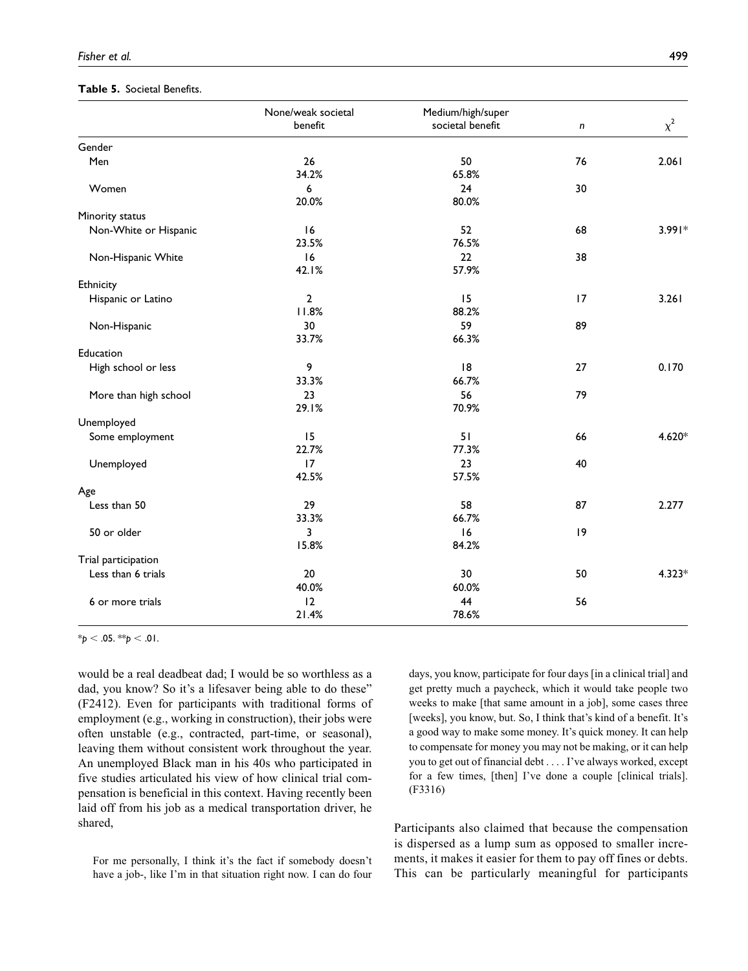## **Table 5.** Societal Benefits.

|                       | None/weak societal<br>benefit | Medium/high/super<br>societal benefit | n  | $\chi^2$ |
|-----------------------|-------------------------------|---------------------------------------|----|----------|
| Gender                |                               |                                       |    |          |
| Men                   | 26<br>34.2%                   | 50<br>65.8%                           | 76 | 2.061    |
| Women                 | 6<br>20.0%                    | 24<br>80.0%                           | 30 |          |
| Minority status       |                               |                                       |    |          |
| Non-White or Hispanic | 16<br>23.5%                   | 52<br>76.5%                           | 68 | $3.991*$ |
| Non-Hispanic White    | 16<br>42.1%                   | 22<br>57.9%                           | 38 |          |
| Ethnicity             |                               |                                       |    |          |
| Hispanic or Latino    | $\overline{2}$<br>11.8%       | 15<br>88.2%                           | 17 | 3.261    |
| Non-Hispanic          | 30<br>33.7%                   | 59<br>66.3%                           | 89 |          |
| Education             |                               |                                       |    |          |
| High school or less   | 9<br>33.3%                    | 18<br>66.7%                           | 27 | 0.170    |
| More than high school | 23<br>29.1%                   | 56<br>70.9%                           | 79 |          |
| Unemployed            |                               |                                       |    |          |
| Some employment       | 15<br>22.7%                   | 51<br>77.3%                           | 66 | 4.620*   |
| Unemployed            | 17<br>42.5%                   | 23<br>57.5%                           | 40 |          |
| Age                   |                               |                                       |    |          |
| Less than 50          | 29<br>33.3%                   | 58<br>66.7%                           | 87 | 2.277    |
| 50 or older           | 3<br>15.8%                    | 16<br>84.2%                           | 9  |          |
| Trial participation   |                               |                                       |    |          |
| Less than 6 trials    | 20<br>40.0%                   | 30<br>60.0%                           | 50 | $4.323*$ |
| 6 or more trials      | 12<br>21.4%                   | 44<br>78.6%                           | 56 |          |

\**p* < .05. \*\**p* < .01.

would be a real deadbeat dad; I would be so worthless as a dad, you know? So it's a lifesaver being able to do these" (F2412). Even for participants with traditional forms of employment (e.g., working in construction), their jobs were often unstable (e.g., contracted, part-time, or seasonal), leaving them without consistent work throughout the year. An unemployed Black man in his 40s who participated in five studies articulated his view of how clinical trial compensation is beneficial in this context. Having recently been laid off from his job as a medical transportation driver, he shared,

For me personally, I think it's the fact if somebody doesn't have a job-, like I'm in that situation right now. I can do four

days, you know, participate for four days [in a clinical trial] and get pretty much a paycheck, which it would take people two weeks to make [that same amount in a job], some cases three [weeks], you know, but. So, I think that's kind of a benefit. It's a good way to make some money. It's quick money. It can help to compensate for money you may not be making, or it can help you to get out of financial debt . . . . I've always worked, except for a few times, [then] I've done a couple [clinical trials]. (F3316)

Participants also claimed that because the compensation is dispersed as a lump sum as opposed to smaller increments, it makes it easier for them to pay off fines or debts. This can be particularly meaningful for participants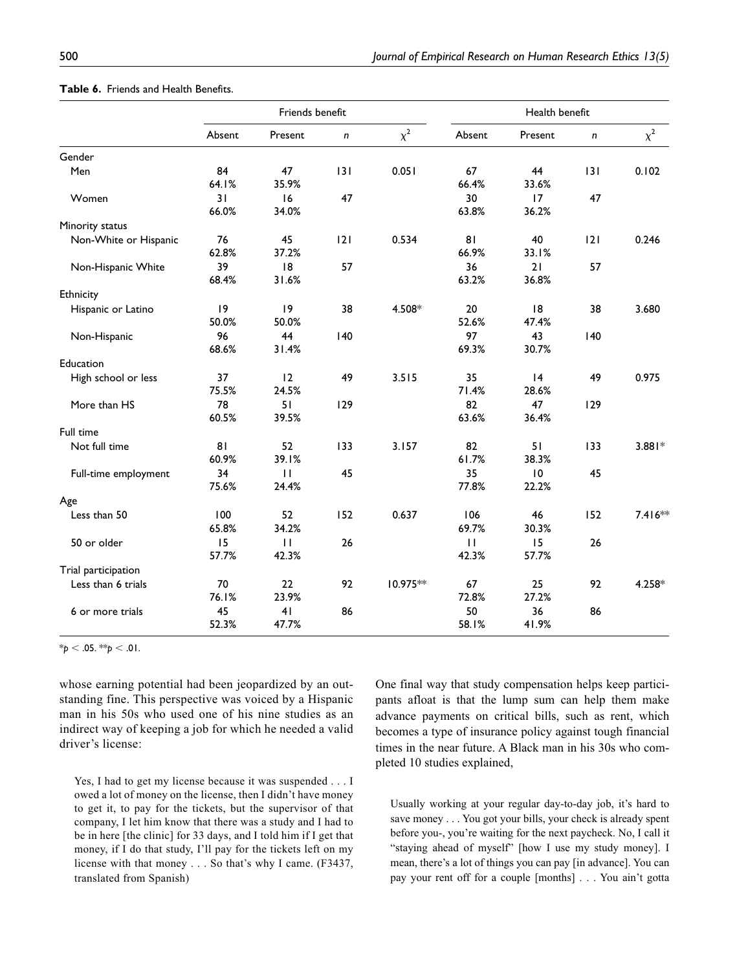|                       | Friends benefit |                       |     |          | Health benefit        |             |     |          |  |
|-----------------------|-----------------|-----------------------|-----|----------|-----------------------|-------------|-----|----------|--|
|                       | Absent          | Present               | n   | $\chi^2$ | Absent                | Present     | n   | $\chi^2$ |  |
| Gender                |                 |                       |     |          |                       |             |     |          |  |
| Men                   | 84<br>64.1%     | 47<br>35.9%           | 3   | 0.051    | 67<br>66.4%           | 44<br>33.6% | 3   | 0.102    |  |
| Women                 | 31<br>66.0%     | 16<br>34.0%           | 47  |          | 30<br>63.8%           | 17<br>36.2% | 47  |          |  |
| Minority status       |                 |                       |     |          |                       |             |     |          |  |
| Non-White or Hispanic | 76<br>62.8%     | 45<br>37.2%           | 2   | 0.534    | 81<br>66.9%           | 40<br>33.1% | 2   | 0.246    |  |
| Non-Hispanic White    | 39<br>68.4%     | 8<br>31.6%            | 57  |          | 36<br>63.2%           | 21<br>36.8% | 57  |          |  |
| Ethnicity             |                 |                       |     |          |                       |             |     |          |  |
| Hispanic or Latino    | 9<br>50.0%      | 19<br>50.0%           | 38  | 4.508*   | 20<br>52.6%           | 8<br>47.4%  | 38  | 3.680    |  |
| Non-Hispanic          | 96<br>68.6%     | 44<br>31.4%           | 140 |          | 97<br>69.3%           | 43<br>30.7% | 140 |          |  |
| Education             |                 |                       |     |          |                       |             |     |          |  |
| High school or less   | 37<br>75.5%     | 12<br>24.5%           | 49  | 3.515    | 35<br>71.4%           | 4<br>28.6%  | 49  | 0.975    |  |
| More than HS          | 78<br>60.5%     | 51<br>39.5%           | 129 |          | 82<br>63.6%           | 47<br>36.4% | 129 |          |  |
| Full time             |                 |                       |     |          |                       |             |     |          |  |
| Not full time         | 81<br>60.9%     | 52<br>39.1%           | 133 | 3.157    | 82<br>61.7%           | 51<br>38.3% | 133 | $3.881*$ |  |
| Full-time employment  | 34<br>75.6%     | $\mathbf{H}$<br>24.4% | 45  |          | 35<br>77.8%           | 10<br>22.2% | 45  |          |  |
| Age                   |                 |                       |     |          |                       |             |     |          |  |
| Less than 50          | 100<br>65.8%    | 52<br>34.2%           | 152 | 0.637    | 106<br>69.7%          | 46<br>30.3% | 152 | 7.416**  |  |
| 50 or older           | 15<br>57.7%     | $\mathbf{H}$<br>42.3% | 26  |          | $\mathbf{H}$<br>42.3% | 15<br>57.7% | 26  |          |  |
| Trial participation   |                 |                       |     |          |                       |             |     |          |  |
| Less than 6 trials    | 70<br>76.1%     | 22<br>23.9%           | 92  | 10.975** | 67<br>72.8%           | 25<br>27.2% | 92  | 4.258*   |  |
| 6 or more trials      | 45<br>52.3%     | 41<br>47.7%           | 86  |          | 50<br>58.1%           | 36<br>41.9% | 86  |          |  |

#### **Table 6.** Friends and Health Benefits.

\**p* < .05. \*\**p* < .01.

whose earning potential had been jeopardized by an outstanding fine. This perspective was voiced by a Hispanic man in his 50s who used one of his nine studies as an indirect way of keeping a job for which he needed a valid driver's license:

Yes, I had to get my license because it was suspended . . . I owed a lot of money on the license, then I didn't have money to get it, to pay for the tickets, but the supervisor of that company, I let him know that there was a study and I had to be in here [the clinic] for 33 days, and I told him if I get that money, if I do that study, I'll pay for the tickets left on my license with that money . . . So that's why I came. (F3437, translated from Spanish)

One final way that study compensation helps keep participants afloat is that the lump sum can help them make advance payments on critical bills, such as rent, which becomes a type of insurance policy against tough financial times in the near future. A Black man in his 30s who completed 10 studies explained,

Usually working at your regular day-to-day job, it's hard to save money . . . You got your bills, your check is already spent before you-, you're waiting for the next paycheck. No, I call it "staying ahead of myself" [how I use my study money]. I mean, there's a lot of things you can pay [in advance]. You can pay your rent off for a couple [months] . . . You ain't gotta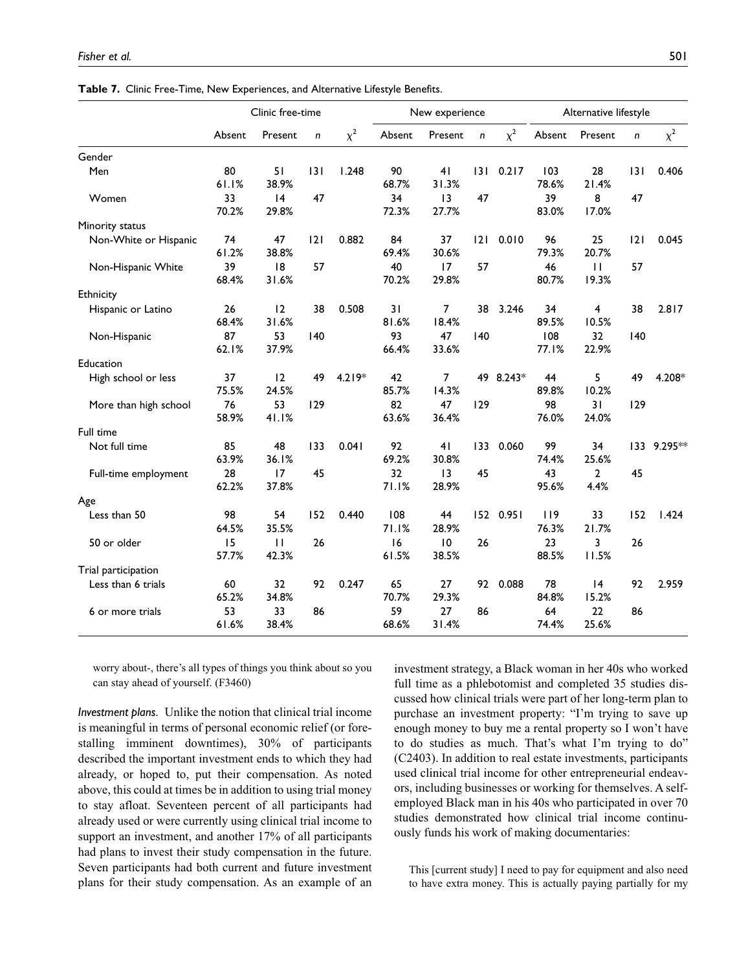|                       | Clinic free-time |                       |     |          | New experience |                          |              |          | Alternative lifestyle |                        |              |          |
|-----------------------|------------------|-----------------------|-----|----------|----------------|--------------------------|--------------|----------|-----------------------|------------------------|--------------|----------|
|                       | Absent           | Present               | n   | $\chi^2$ | Absent         | Present                  | $\mathsf{n}$ | $\chi^2$ | Absent                | Present                | $\mathsf{n}$ | $\chi^2$ |
| Gender                |                  |                       |     |          |                |                          |              |          |                       |                        |              |          |
| Men                   | 80<br>61.1%      | 51<br>38.9%           | 3   | 1.248    | 90<br>68.7%    | 41<br>31.3%              | 3            | 0.217    | 103<br>78.6%          | 28<br>21.4%            | 3            | 0.406    |
| Women                 | 33<br>70.2%      | 4<br>29.8%            | 47  |          | 34<br>72.3%    | 13<br>27.7%              | 47           |          | 39<br>83.0%           | 8<br>17.0%             | 47           |          |
| Minority status       |                  |                       |     |          |                |                          |              |          |                       |                        |              |          |
| Non-White or Hispanic | 74<br>61.2%      | 47<br>38.8%           | 2   | 0.882    | 84<br>69.4%    | 37<br>30.6%              | 2            | 0.010    | 96<br>79.3%           | 25<br>20.7%            | 2            | 0.045    |
| Non-Hispanic White    | 39<br>68.4%      | 8<br>31.6%            | 57  |          | 40<br>70.2%    | 17<br>29.8%              | 57           |          | 46<br>80.7%           | $\mathbf{H}$<br>19.3%  | 57           |          |
| Ethnicity             |                  |                       |     |          |                |                          |              |          |                       |                        |              |          |
| Hispanic or Latino    | 26<br>68.4%      | 12<br>31.6%           | 38  | 0.508    | 31<br>81.6%    | 7<br>18.4%               | 38           | 3.246    | 34<br>89.5%           | 4<br>10.5%             | 38           | 2.817    |
| Non-Hispanic          | 87<br>62.1%      | 53<br>37.9%           | 140 |          | 93<br>66.4%    | 47<br>33.6%              | 140          |          | 108<br>77.1%          | 32<br>22.9%            | 140          |          |
| Education             |                  |                       |     |          |                |                          |              |          |                       |                        |              |          |
| High school or less   | 37<br>75.5%      | 12<br>24.5%           | 49  | $4.219*$ | 42<br>85.7%    | $\overline{7}$<br>14.3%  | 49           | $8.243*$ | 44<br>89.8%           | 5<br>10.2%             | 49           | 4.208*   |
| More than high school | 76<br>58.9%      | 53<br>41.1%           | 129 |          | 82<br>63.6%    | 47<br>36.4%              | 129          |          | 98<br>76.0%           | 31<br>24.0%            | 129          |          |
| <b>Full time</b>      |                  |                       |     |          |                |                          |              |          |                       |                        |              |          |
| Not full time         | 85<br>63.9%      | 48<br>36.1%           | 133 | 0.041    | 92<br>69.2%    | 4 <sub>1</sub><br>30.8%  | 133          | 0.060    | 99<br>74.4%           | 34<br>25.6%            | 133          | 9.295**  |
| Full-time employment  | 28<br>62.2%      | 17<br>37.8%           | 45  |          | 32<br>71.1%    | $\overline{13}$<br>28.9% | 45           |          | 43<br>95.6%           | $\overline{2}$<br>4.4% | 45           |          |
| Age                   |                  |                       |     |          |                |                          |              |          |                       |                        |              |          |
| Less than 50          | 98<br>64.5%      | 54<br>35.5%           | 152 | 0.440    | 108<br>71.1%   | 44<br>28.9%              | 152          | 0.951    | 119<br>76.3%          | 33<br>21.7%            | 152          | 1.424    |
| 50 or older           | 15<br>57.7%      | $\mathbf{H}$<br>42.3% | 26  |          | 16<br>61.5%    | 10<br>38.5%              | 26           |          | 23<br>88.5%           | 3<br>11.5%             | 26           |          |
| Trial participation   |                  |                       |     |          |                |                          |              |          |                       |                        |              |          |
| Less than 6 trials    | 60<br>65.2%      | 32<br>34.8%           | 92  | 0.247    | 65<br>70.7%    | 27<br>29.3%              | 92           | 0.088    | 78<br>84.8%           | 4<br>15.2%             | 92           | 2.959    |
| 6 or more trials      | 53<br>61.6%      | 33<br>38.4%           | 86  |          | 59<br>68.6%    | 27<br>31.4%              | 86           |          | 64<br>74.4%           | 22<br>25.6%            | 86           |          |

**Table 7.** Clinic Free-Time, New Experiences, and Alternative Lifestyle Benefits.

worry about-, there's all types of things you think about so you can stay ahead of yourself. (F3460)

*Investment plans.* Unlike the notion that clinical trial income is meaningful in terms of personal economic relief (or forestalling imminent downtimes), 30% of participants described the important investment ends to which they had already, or hoped to, put their compensation. As noted above, this could at times be in addition to using trial money to stay afloat. Seventeen percent of all participants had already used or were currently using clinical trial income to support an investment, and another 17% of all participants had plans to invest their study compensation in the future. Seven participants had both current and future investment plans for their study compensation. As an example of an investment strategy, a Black woman in her 40s who worked full time as a phlebotomist and completed 35 studies discussed how clinical trials were part of her long-term plan to purchase an investment property: "I'm trying to save up enough money to buy me a rental property so I won't have to do studies as much. That's what I'm trying to do" (C2403). In addition to real estate investments, participants used clinical trial income for other entrepreneurial endeavors, including businesses or working for themselves. A selfemployed Black man in his 40s who participated in over 70 studies demonstrated how clinical trial income continuously funds his work of making documentaries:

This [current study] I need to pay for equipment and also need to have extra money. This is actually paying partially for my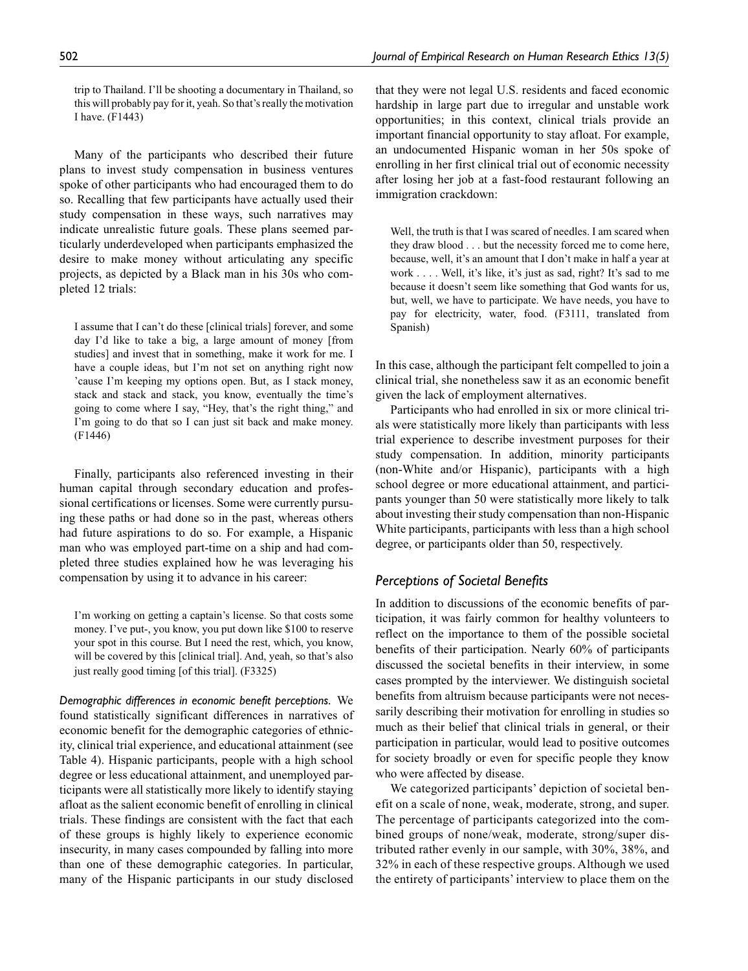trip to Thailand. I'll be shooting a documentary in Thailand, so this will probably pay for it, yeah. So that's really the motivation I have. (F1443)

Many of the participants who described their future plans to invest study compensation in business ventures spoke of other participants who had encouraged them to do so. Recalling that few participants have actually used their study compensation in these ways, such narratives may indicate unrealistic future goals. These plans seemed particularly underdeveloped when participants emphasized the desire to make money without articulating any specific projects, as depicted by a Black man in his 30s who completed 12 trials:

I assume that I can't do these [clinical trials] forever, and some day I'd like to take a big, a large amount of money [from studies] and invest that in something, make it work for me. I have a couple ideas, but I'm not set on anything right now 'cause I'm keeping my options open. But, as I stack money, stack and stack and stack, you know, eventually the time's going to come where I say, "Hey, that's the right thing," and I'm going to do that so I can just sit back and make money. (F1446)

Finally, participants also referenced investing in their human capital through secondary education and professional certifications or licenses. Some were currently pursuing these paths or had done so in the past, whereas others had future aspirations to do so. For example, a Hispanic man who was employed part-time on a ship and had completed three studies explained how he was leveraging his compensation by using it to advance in his career:

I'm working on getting a captain's license. So that costs some money. I've put-, you know, you put down like \$100 to reserve your spot in this course. But I need the rest, which, you know, will be covered by this [clinical trial]. And, yeah, so that's also just really good timing [of this trial]. (F3325)

*Demographic differences in economic benefit perceptions.* We found statistically significant differences in narratives of economic benefit for the demographic categories of ethnicity, clinical trial experience, and educational attainment (see Table 4). Hispanic participants, people with a high school degree or less educational attainment, and unemployed participants were all statistically more likely to identify staying afloat as the salient economic benefit of enrolling in clinical trials. These findings are consistent with the fact that each of these groups is highly likely to experience economic insecurity, in many cases compounded by falling into more than one of these demographic categories. In particular, many of the Hispanic participants in our study disclosed

that they were not legal U.S. residents and faced economic hardship in large part due to irregular and unstable work opportunities; in this context, clinical trials provide an important financial opportunity to stay afloat. For example, an undocumented Hispanic woman in her 50s spoke of enrolling in her first clinical trial out of economic necessity after losing her job at a fast-food restaurant following an immigration crackdown:

Well, the truth is that I was scared of needles. I am scared when they draw blood . . . but the necessity forced me to come here, because, well, it's an amount that I don't make in half a year at work . . . . Well, it's like, it's just as sad, right? It's sad to me because it doesn't seem like something that God wants for us, but, well, we have to participate. We have needs, you have to pay for electricity, water, food. (F3111, translated from Spanish)

In this case, although the participant felt compelled to join a clinical trial, she nonetheless saw it as an economic benefit given the lack of employment alternatives.

Participants who had enrolled in six or more clinical trials were statistically more likely than participants with less trial experience to describe investment purposes for their study compensation. In addition, minority participants (non-White and/or Hispanic), participants with a high school degree or more educational attainment, and participants younger than 50 were statistically more likely to talk about investing their study compensation than non-Hispanic White participants, participants with less than a high school degree, or participants older than 50, respectively.

## *Perceptions of Societal Benefits*

In addition to discussions of the economic benefits of participation, it was fairly common for healthy volunteers to reflect on the importance to them of the possible societal benefits of their participation. Nearly 60% of participants discussed the societal benefits in their interview, in some cases prompted by the interviewer. We distinguish societal benefits from altruism because participants were not necessarily describing their motivation for enrolling in studies so much as their belief that clinical trials in general, or their participation in particular, would lead to positive outcomes for society broadly or even for specific people they know who were affected by disease.

We categorized participants' depiction of societal benefit on a scale of none, weak, moderate, strong, and super. The percentage of participants categorized into the combined groups of none/weak, moderate, strong/super distributed rather evenly in our sample, with 30%, 38%, and 32% in each of these respective groups. Although we used the entirety of participants' interview to place them on the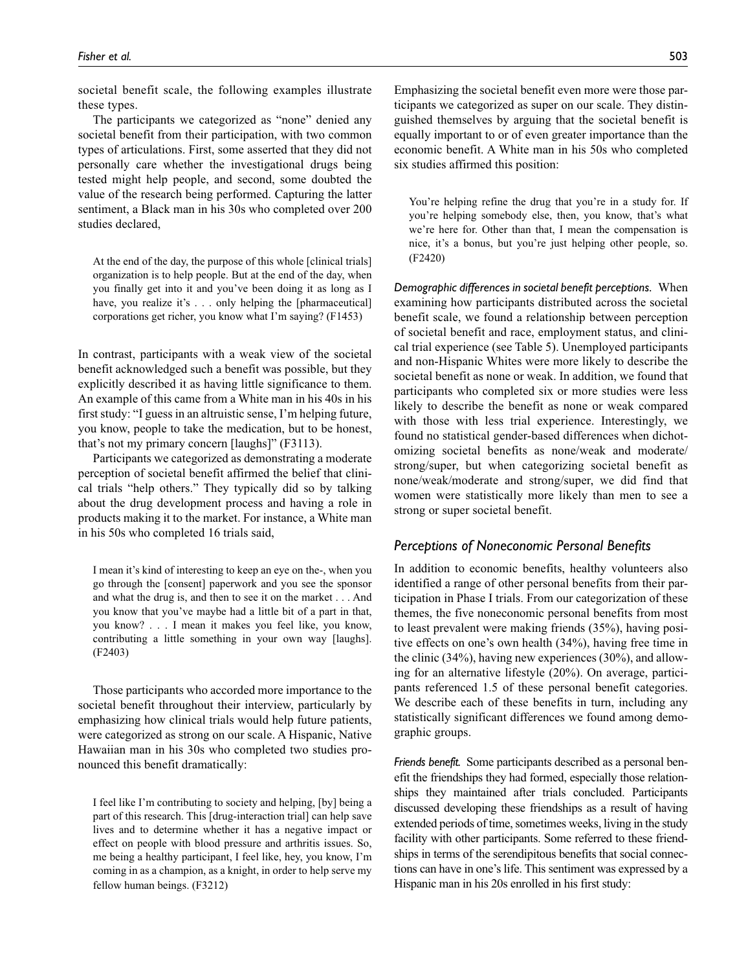societal benefit scale, the following examples illustrate these types.

The participants we categorized as "none" denied any societal benefit from their participation, with two common types of articulations. First, some asserted that they did not personally care whether the investigational drugs being tested might help people, and second, some doubted the value of the research being performed. Capturing the latter sentiment, a Black man in his 30s who completed over 200 studies declared,

At the end of the day, the purpose of this whole [clinical trials] organization is to help people. But at the end of the day, when you finally get into it and you've been doing it as long as I have, you realize it's . . . only helping the [pharmaceutical] corporations get richer, you know what I'm saying? (F1453)

In contrast, participants with a weak view of the societal benefit acknowledged such a benefit was possible, but they explicitly described it as having little significance to them. An example of this came from a White man in his 40s in his first study: "I guess in an altruistic sense, I'm helping future, you know, people to take the medication, but to be honest, that's not my primary concern [laughs]" (F3113).

Participants we categorized as demonstrating a moderate perception of societal benefit affirmed the belief that clinical trials "help others." They typically did so by talking about the drug development process and having a role in products making it to the market. For instance, a White man in his 50s who completed 16 trials said,

I mean it's kind of interesting to keep an eye on the-, when you go through the [consent] paperwork and you see the sponsor and what the drug is, and then to see it on the market . . . And you know that you've maybe had a little bit of a part in that, you know? . . . I mean it makes you feel like, you know, contributing a little something in your own way [laughs]. (F2403)

Those participants who accorded more importance to the societal benefit throughout their interview, particularly by emphasizing how clinical trials would help future patients, were categorized as strong on our scale. A Hispanic, Native Hawaiian man in his 30s who completed two studies pronounced this benefit dramatically:

I feel like I'm contributing to society and helping, [by] being a part of this research. This [drug-interaction trial] can help save lives and to determine whether it has a negative impact or effect on people with blood pressure and arthritis issues. So, me being a healthy participant, I feel like, hey, you know, I'm coming in as a champion, as a knight, in order to help serve my fellow human beings. (F3212)

Emphasizing the societal benefit even more were those participants we categorized as super on our scale. They distinguished themselves by arguing that the societal benefit is equally important to or of even greater importance than the economic benefit. A White man in his 50s who completed six studies affirmed this position:

You're helping refine the drug that you're in a study for. If you're helping somebody else, then, you know, that's what we're here for. Other than that, I mean the compensation is nice, it's a bonus, but you're just helping other people, so. (F2420)

*Demographic differences in societal benefit perceptions.* When examining how participants distributed across the societal benefit scale, we found a relationship between perception of societal benefit and race, employment status, and clinical trial experience (see Table 5). Unemployed participants and non-Hispanic Whites were more likely to describe the societal benefit as none or weak. In addition, we found that participants who completed six or more studies were less likely to describe the benefit as none or weak compared with those with less trial experience. Interestingly, we found no statistical gender-based differences when dichotomizing societal benefits as none/weak and moderate/ strong/super, but when categorizing societal benefit as none/weak/moderate and strong/super, we did find that women were statistically more likely than men to see a strong or super societal benefit.

## *Perceptions of Noneconomic Personal Benefits*

In addition to economic benefits, healthy volunteers also identified a range of other personal benefits from their participation in Phase I trials. From our categorization of these themes, the five noneconomic personal benefits from most to least prevalent were making friends (35%), having positive effects on one's own health (34%), having free time in the clinic (34%), having new experiences (30%), and allowing for an alternative lifestyle (20%). On average, participants referenced 1.5 of these personal benefit categories. We describe each of these benefits in turn, including any statistically significant differences we found among demographic groups.

*Friends benefit.* Some participants described as a personal benefit the friendships they had formed, especially those relationships they maintained after trials concluded. Participants discussed developing these friendships as a result of having extended periods of time, sometimes weeks, living in the study facility with other participants. Some referred to these friendships in terms of the serendipitous benefits that social connections can have in one's life. This sentiment was expressed by a Hispanic man in his 20s enrolled in his first study: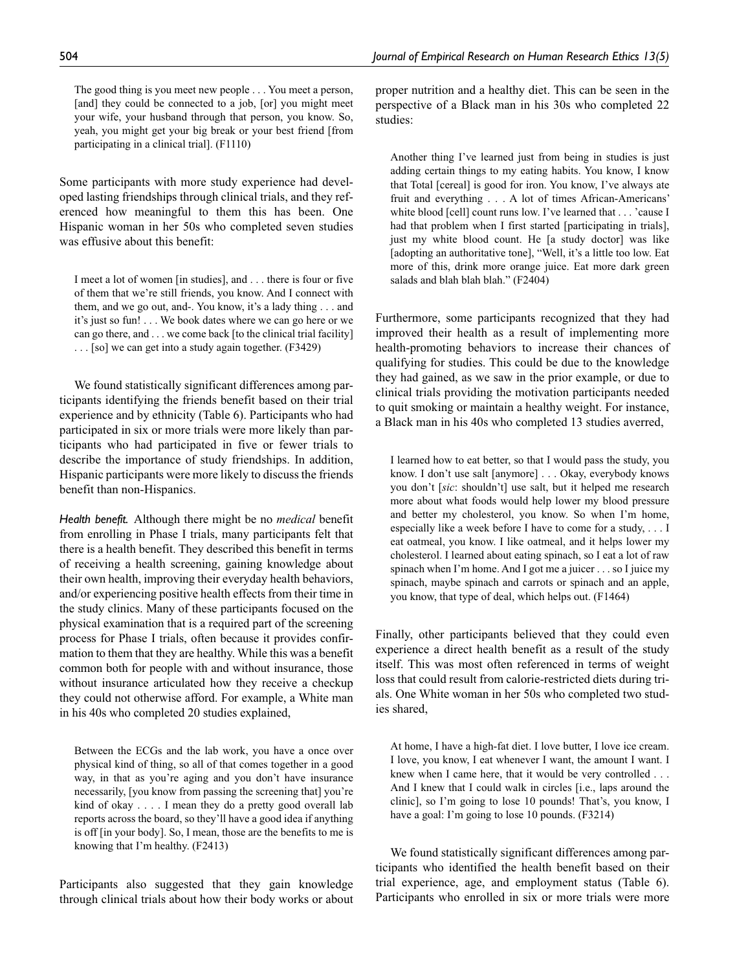[and] they could be connected to a job, [or] you might meet your wife, your husband through that person, you know. So, yeah, you might get your big break or your best friend [from participating in a clinical trial]. (F1110)

Some participants with more study experience had developed lasting friendships through clinical trials, and they referenced how meaningful to them this has been. One Hispanic woman in her 50s who completed seven studies was effusive about this benefit:

I meet a lot of women [in studies], and . . . there is four or five of them that we're still friends, you know. And I connect with them, and we go out, and-. You know, it's a lady thing . . . and it's just so fun! . . . We book dates where we can go here or we can go there, and . . . we come back [to the clinical trial facility] . . . [so] we can get into a study again together. (F3429)

We found statistically significant differences among participants identifying the friends benefit based on their trial experience and by ethnicity (Table 6). Participants who had participated in six or more trials were more likely than participants who had participated in five or fewer trials to describe the importance of study friendships. In addition, Hispanic participants were more likely to discuss the friends benefit than non-Hispanics.

*Health benefit.* Although there might be no *medical* benefit from enrolling in Phase I trials, many participants felt that there is a health benefit. They described this benefit in terms of receiving a health screening, gaining knowledge about their own health, improving their everyday health behaviors, and/or experiencing positive health effects from their time in the study clinics. Many of these participants focused on the physical examination that is a required part of the screening process for Phase I trials, often because it provides confirmation to them that they are healthy. While this was a benefit common both for people with and without insurance, those without insurance articulated how they receive a checkup they could not otherwise afford. For example, a White man in his 40s who completed 20 studies explained,

Between the ECGs and the lab work, you have a once over physical kind of thing, so all of that comes together in a good way, in that as you're aging and you don't have insurance necessarily, [you know from passing the screening that] you're kind of okay . . . . I mean they do a pretty good overall lab reports across the board, so they'll have a good idea if anything is off [in your body]. So, I mean, those are the benefits to me is knowing that I'm healthy. (F2413)

Participants also suggested that they gain knowledge through clinical trials about how their body works or about proper nutrition and a healthy diet. This can be seen in the perspective of a Black man in his 30s who completed 22 studies:

Another thing I've learned just from being in studies is just adding certain things to my eating habits. You know, I know that Total [cereal] is good for iron. You know, I've always ate fruit and everything . . . A lot of times African-Americans' white blood [cell] count runs low. I've learned that . . . 'cause I had that problem when I first started [participating in trials], just my white blood count. He [a study doctor] was like [adopting an authoritative tone], "Well, it's a little too low. Eat more of this, drink more orange juice. Eat more dark green salads and blah blah blah." (F2404)

Furthermore, some participants recognized that they had improved their health as a result of implementing more health-promoting behaviors to increase their chances of qualifying for studies. This could be due to the knowledge they had gained, as we saw in the prior example, or due to clinical trials providing the motivation participants needed to quit smoking or maintain a healthy weight. For instance, a Black man in his 40s who completed 13 studies averred,

I learned how to eat better, so that I would pass the study, you know. I don't use salt [anymore] . . . Okay, everybody knows you don't [*sic*: shouldn't] use salt, but it helped me research more about what foods would help lower my blood pressure and better my cholesterol, you know. So when I'm home, especially like a week before I have to come for a study, . . . I eat oatmeal, you know. I like oatmeal, and it helps lower my cholesterol. I learned about eating spinach, so I eat a lot of raw spinach when I'm home. And I got me a juicer . . . so I juice my spinach, maybe spinach and carrots or spinach and an apple, you know, that type of deal, which helps out. (F1464)

Finally, other participants believed that they could even experience a direct health benefit as a result of the study itself. This was most often referenced in terms of weight loss that could result from calorie-restricted diets during trials. One White woman in her 50s who completed two studies shared,

At home, I have a high-fat diet. I love butter, I love ice cream. I love, you know, I eat whenever I want, the amount I want. I knew when I came here, that it would be very controlled . . . And I knew that I could walk in circles [i.e., laps around the clinic], so I'm going to lose 10 pounds! That's, you know, I have a goal: I'm going to lose 10 pounds. (F3214)

We found statistically significant differences among participants who identified the health benefit based on their trial experience, age, and employment status (Table 6). Participants who enrolled in six or more trials were more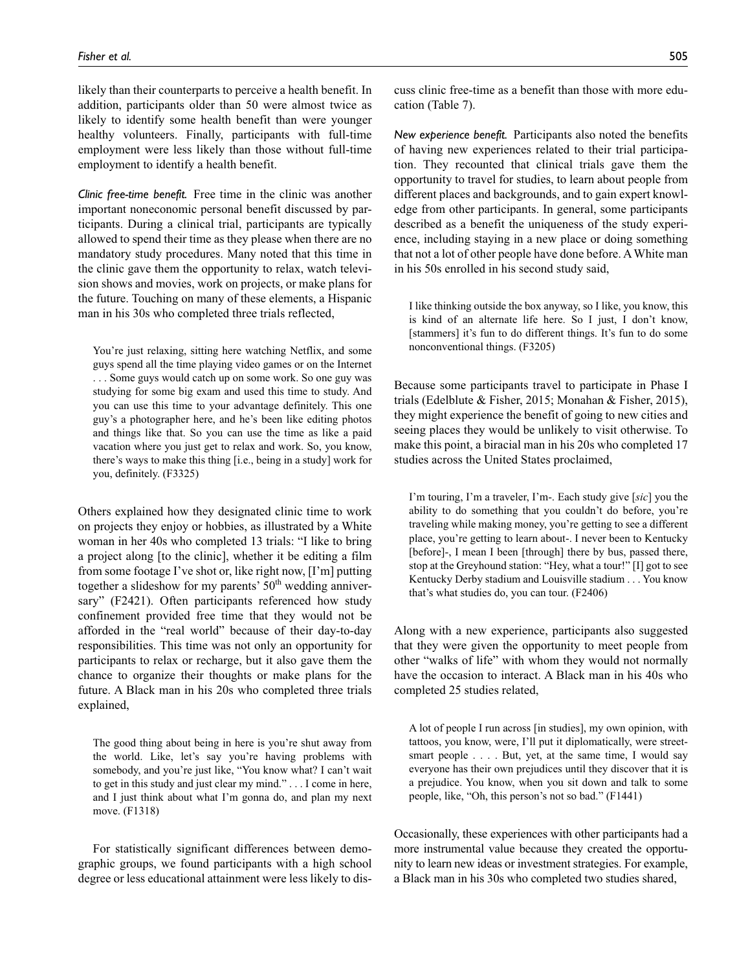likely than their counterparts to perceive a health benefit. In addition, participants older than 50 were almost twice as likely to identify some health benefit than were younger healthy volunteers. Finally, participants with full-time employment were less likely than those without full-time employment to identify a health benefit.

*Clinic free-time benefit.* Free time in the clinic was another important noneconomic personal benefit discussed by participants. During a clinical trial, participants are typically allowed to spend their time as they please when there are no mandatory study procedures. Many noted that this time in the clinic gave them the opportunity to relax, watch television shows and movies, work on projects, or make plans for the future. Touching on many of these elements, a Hispanic man in his 30s who completed three trials reflected,

You're just relaxing, sitting here watching Netflix, and some guys spend all the time playing video games or on the Internet . . . Some guys would catch up on some work. So one guy was studying for some big exam and used this time to study. And you can use this time to your advantage definitely. This one guy's a photographer here, and he's been like editing photos and things like that. So you can use the time as like a paid vacation where you just get to relax and work. So, you know, there's ways to make this thing [i.e., being in a study] work for you, definitely. (F3325)

Others explained how they designated clinic time to work on projects they enjoy or hobbies, as illustrated by a White woman in her 40s who completed 13 trials: "I like to bring a project along [to the clinic], whether it be editing a film from some footage I've shot or, like right now, [I'm] putting together a slideshow for my parents'  $50<sup>th</sup>$  wedding anniversary" (F2421). Often participants referenced how study confinement provided free time that they would not be afforded in the "real world" because of their day-to-day responsibilities. This time was not only an opportunity for participants to relax or recharge, but it also gave them the chance to organize their thoughts or make plans for the future. A Black man in his 20s who completed three trials explained,

The good thing about being in here is you're shut away from the world. Like, let's say you're having problems with somebody, and you're just like, "You know what? I can't wait to get in this study and just clear my mind." . . . I come in here, and I just think about what I'm gonna do, and plan my next move. (F1318)

For statistically significant differences between demographic groups, we found participants with a high school degree or less educational attainment were less likely to dis*New experience benefit.* Participants also noted the benefits of having new experiences related to their trial participation. They recounted that clinical trials gave them the opportunity to travel for studies, to learn about people from different places and backgrounds, and to gain expert knowledge from other participants. In general, some participants described as a benefit the uniqueness of the study experience, including staying in a new place or doing something that not a lot of other people have done before. A White man in his 50s enrolled in his second study said,

I like thinking outside the box anyway, so I like, you know, this is kind of an alternate life here. So I just, I don't know, [stammers] it's fun to do different things. It's fun to do some nonconventional things. (F3205)

Because some participants travel to participate in Phase I trials (Edelblute & Fisher, 2015; Monahan & Fisher, 2015), they might experience the benefit of going to new cities and seeing places they would be unlikely to visit otherwise. To make this point, a biracial man in his 20s who completed 17 studies across the United States proclaimed,

I'm touring, I'm a traveler, I'm-. Each study give [*sic*] you the ability to do something that you couldn't do before, you're traveling while making money, you're getting to see a different place, you're getting to learn about-. I never been to Kentucky [before]-, I mean I been [through] there by bus, passed there, stop at the Greyhound station: "Hey, what a tour!" [I] got to see Kentucky Derby stadium and Louisville stadium . . . You know that's what studies do, you can tour. (F2406)

Along with a new experience, participants also suggested that they were given the opportunity to meet people from other "walks of life" with whom they would not normally have the occasion to interact. A Black man in his 40s who completed 25 studies related,

A lot of people I run across [in studies], my own opinion, with tattoos, you know, were, I'll put it diplomatically, were streetsmart people . . . . But, yet, at the same time, I would say everyone has their own prejudices until they discover that it is a prejudice. You know, when you sit down and talk to some people, like, "Oh, this person's not so bad." (F1441)

Occasionally, these experiences with other participants had a more instrumental value because they created the opportunity to learn new ideas or investment strategies. For example, a Black man in his 30s who completed two studies shared,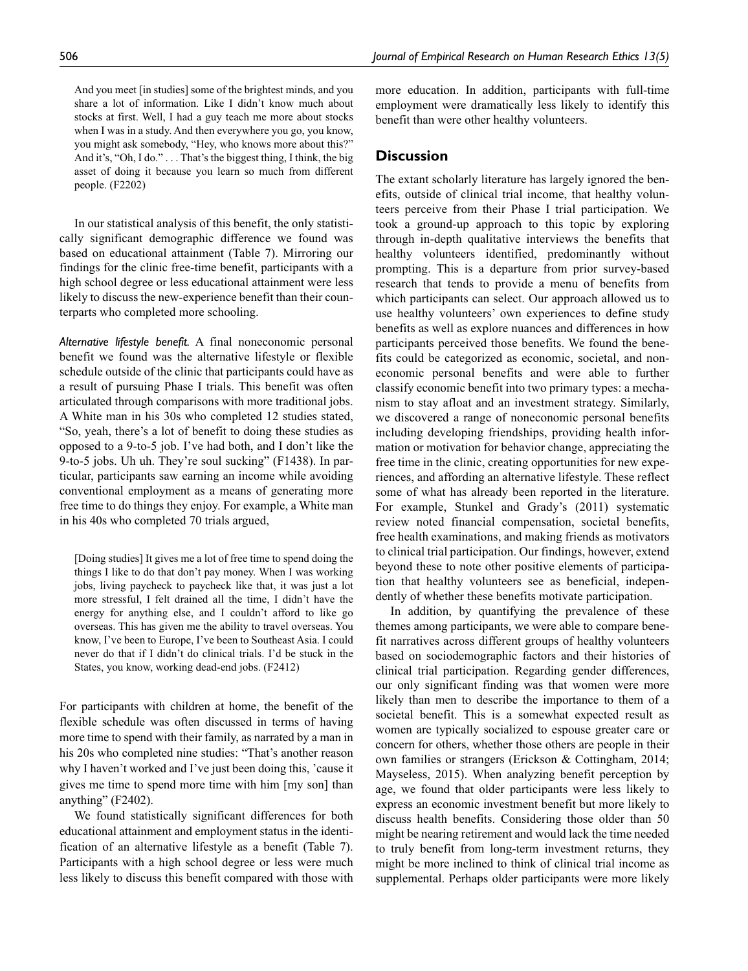And you meet [in studies] some of the brightest minds, and you share a lot of information. Like I didn't know much about stocks at first. Well, I had a guy teach me more about stocks when I was in a study. And then everywhere you go, you know, you might ask somebody, "Hey, who knows more about this?" And it's, "Oh, I do." . . . That's the biggest thing, I think, the big asset of doing it because you learn so much from different people. (F2202)

In our statistical analysis of this benefit, the only statistically significant demographic difference we found was based on educational attainment (Table 7). Mirroring our findings for the clinic free-time benefit, participants with a high school degree or less educational attainment were less likely to discuss the new-experience benefit than their counterparts who completed more schooling.

*Alternative lifestyle benefit.* A final noneconomic personal benefit we found was the alternative lifestyle or flexible schedule outside of the clinic that participants could have as a result of pursuing Phase I trials. This benefit was often articulated through comparisons with more traditional jobs. A White man in his 30s who completed 12 studies stated, "So, yeah, there's a lot of benefit to doing these studies as opposed to a 9-to-5 job. I've had both, and I don't like the 9-to-5 jobs. Uh uh. They're soul sucking" (F1438). In particular, participants saw earning an income while avoiding conventional employment as a means of generating more free time to do things they enjoy. For example, a White man in his 40s who completed 70 trials argued,

[Doing studies] It gives me a lot of free time to spend doing the things I like to do that don't pay money. When I was working jobs, living paycheck to paycheck like that, it was just a lot more stressful, I felt drained all the time, I didn't have the energy for anything else, and I couldn't afford to like go overseas. This has given me the ability to travel overseas. You know, I've been to Europe, I've been to Southeast Asia. I could never do that if I didn't do clinical trials. I'd be stuck in the States, you know, working dead-end jobs. (F2412)

For participants with children at home, the benefit of the flexible schedule was often discussed in terms of having more time to spend with their family, as narrated by a man in his 20s who completed nine studies: "That's another reason why I haven't worked and I've just been doing this, 'cause it gives me time to spend more time with him [my son] than anything" (F2402).

We found statistically significant differences for both educational attainment and employment status in the identification of an alternative lifestyle as a benefit (Table 7). Participants with a high school degree or less were much less likely to discuss this benefit compared with those with more education. In addition, participants with full-time employment were dramatically less likely to identify this benefit than were other healthy volunteers.

## **Discussion**

The extant scholarly literature has largely ignored the benefits, outside of clinical trial income, that healthy volunteers perceive from their Phase I trial participation. We took a ground-up approach to this topic by exploring through in-depth qualitative interviews the benefits that healthy volunteers identified, predominantly without prompting. This is a departure from prior survey-based research that tends to provide a menu of benefits from which participants can select. Our approach allowed us to use healthy volunteers' own experiences to define study benefits as well as explore nuances and differences in how participants perceived those benefits. We found the benefits could be categorized as economic, societal, and noneconomic personal benefits and were able to further classify economic benefit into two primary types: a mechanism to stay afloat and an investment strategy. Similarly, we discovered a range of noneconomic personal benefits including developing friendships, providing health information or motivation for behavior change, appreciating the free time in the clinic, creating opportunities for new experiences, and affording an alternative lifestyle. These reflect some of what has already been reported in the literature. For example, Stunkel and Grady's (2011) systematic review noted financial compensation, societal benefits, free health examinations, and making friends as motivators to clinical trial participation. Our findings, however, extend beyond these to note other positive elements of participation that healthy volunteers see as beneficial, independently of whether these benefits motivate participation.

In addition, by quantifying the prevalence of these themes among participants, we were able to compare benefit narratives across different groups of healthy volunteers based on sociodemographic factors and their histories of clinical trial participation. Regarding gender differences, our only significant finding was that women were more likely than men to describe the importance to them of a societal benefit. This is a somewhat expected result as women are typically socialized to espouse greater care or concern for others, whether those others are people in their own families or strangers (Erickson & Cottingham, 2014; Mayseless, 2015). When analyzing benefit perception by age, we found that older participants were less likely to express an economic investment benefit but more likely to discuss health benefits. Considering those older than 50 might be nearing retirement and would lack the time needed to truly benefit from long-term investment returns, they might be more inclined to think of clinical trial income as supplemental. Perhaps older participants were more likely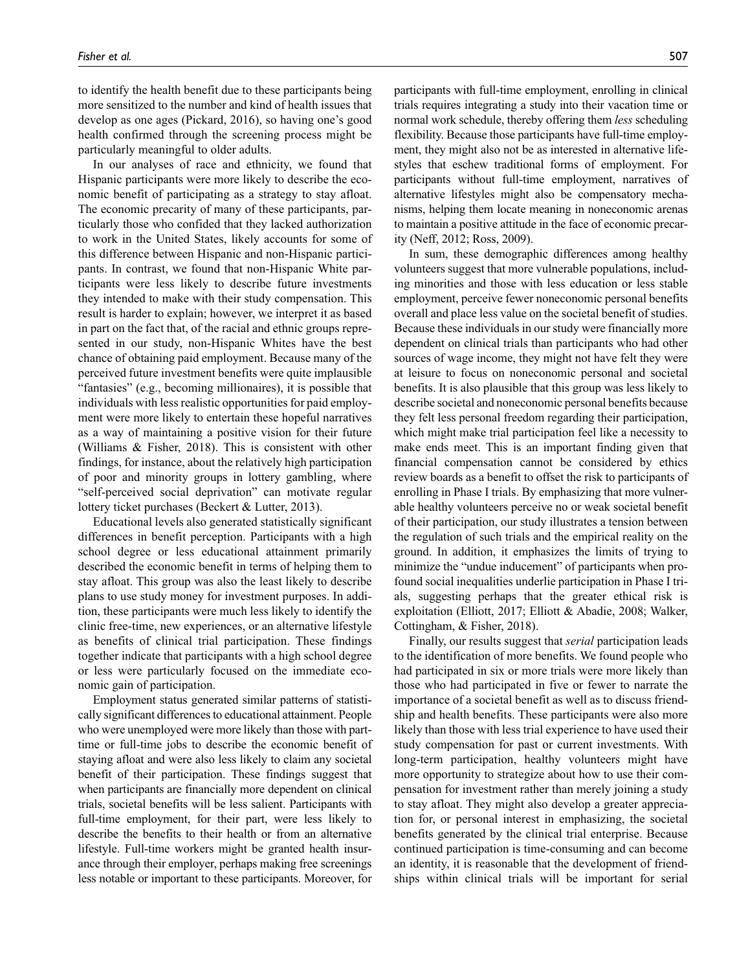to identify the health benefit due to these participants being more sensitized to the number and kind of health issues that develop as one ages (Pickard, 2016), so having one's good health confirmed through the screening process might be particularly meaningful to older adults.

In our analyses of race and ethnicity, we found that Hispanic participants were more likely to describe the economic benefit of participating as a strategy to stay afloat. The economic precarity of many of these participants, particularly those who confided that they lacked authorization to work in the United States, likely accounts for some of this difference between Hispanic and non-Hispanic participants. In contrast, we found that non-Hispanic White participants were less likely to describe future investments they intended to make with their study compensation. This result is harder to explain; however, we interpret it as based in part on the fact that, of the racial and ethnic groups represented in our study, non-Hispanic Whites have the best chance of obtaining paid employment. Because many of the perceived future investment benefits were quite implausible "fantasies" (e.g., becoming millionaires), it is possible that individuals with less realistic opportunities for paid employment were more likely to entertain these hopeful narratives as a way of maintaining a positive vision for their future (Williams & Fisher, 2018). This is consistent with other findings, for instance, about the relatively high participation of poor and minority groups in lottery gambling, where "self-perceived social deprivation" can motivate regular lottery ticket purchases (Beckert & Lutter, 2013).

Educational levels also generated statistically significant differences in benefit perception. Participants with a high school degree or less educational attainment primarily described the economic benefit in terms of helping them to stay afloat. This group was also the least likely to describe plans to use study money for investment purposes. In addition, these participants were much less likely to identify the clinic free-time, new experiences, or an alternative lifestyle as benefits of clinical trial participation. These findings together indicate that participants with a high school degree or less were particularly focused on the immediate economic gain of participation.

Employment status generated similar patterns of statistically significant differences to educational attainment. People who were unemployed were more likely than those with parttime or full-time jobs to describe the economic benefit of staying afloat and were also less likely to claim any societal benefit of their participation. These findings suggest that when participants are financially more dependent on clinical trials, societal benefits will be less salient. Participants with full-time employment, for their part, were less likely to describe the benefits to their health or from an alternative lifestyle. Full-time workers might be granted health insurance through their employer, perhaps making free screenings less notable or important to these participants. Moreover, for

participants with full-time employment, enrolling in clinical trials requires integrating a study into their vacation time or normal work schedule, thereby offering them *less* scheduling flexibility. Because those participants have full-time employment, they might also not be as interested in alternative lifestyles that eschew traditional forms of employment. For participants without full-time employment, narratives of alternative lifestyles might also be compensatory mechanisms, helping them locate meaning in noneconomic arenas to maintain a positive attitude in the face of economic precarity (Neff, 2012; Ross, 2009).

In sum, these demographic differences among healthy volunteers suggest that more vulnerable populations, including minorities and those with less education or less stable employment, perceive fewer noneconomic personal benefits overall and place less value on the societal benefit of studies. Because these individuals in our study were financially more dependent on clinical trials than participants who had other sources of wage income, they might not have felt they were at leisure to focus on noneconomic personal and societal benefits. It is also plausible that this group was less likely to describe societal and noneconomic personal benefits because they felt less personal freedom regarding their participation, which might make trial participation feel like a necessity to make ends meet. This is an important finding given that financial compensation cannot be considered by ethics review boards as a benefit to offset the risk to participants of enrolling in Phase I trials. By emphasizing that more vulnerable healthy volunteers perceive no or weak societal benefit of their participation, our study illustrates a tension between the regulation of such trials and the empirical reality on the ground. In addition, it emphasizes the limits of trying to minimize the "undue inducement" of participants when profound social inequalities underlie participation in Phase I trials, suggesting perhaps that the greater ethical risk is exploitation (Elliott, 2017; Elliott & Abadie, 2008; Walker, Cottingham, & Fisher, 2018).

Finally, our results suggest that *serial* participation leads to the identification of more benefits. We found people who had participated in six or more trials were more likely than those who had participated in five or fewer to narrate the importance of a societal benefit as well as to discuss friendship and health benefits. These participants were also more likely than those with less trial experience to have used their study compensation for past or current investments. With long-term participation, healthy volunteers might have more opportunity to strategize about how to use their compensation for investment rather than merely joining a study to stay afloat. They might also develop a greater appreciation for, or personal interest in emphasizing, the societal benefits generated by the clinical trial enterprise. Because continued participation is time-consuming and can become an identity, it is reasonable that the development of friendships within clinical trials will be important for serial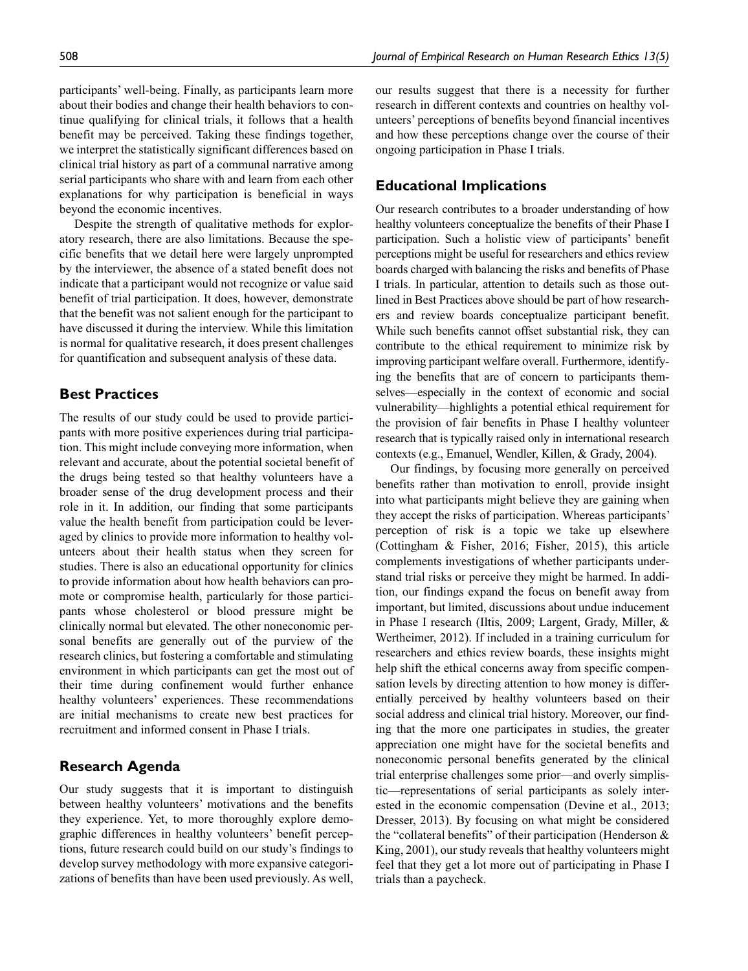participants' well-being. Finally, as participants learn more about their bodies and change their health behaviors to continue qualifying for clinical trials, it follows that a health benefit may be perceived. Taking these findings together, we interpret the statistically significant differences based on clinical trial history as part of a communal narrative among serial participants who share with and learn from each other explanations for why participation is beneficial in ways beyond the economic incentives.

Despite the strength of qualitative methods for exploratory research, there are also limitations. Because the specific benefits that we detail here were largely unprompted by the interviewer, the absence of a stated benefit does not indicate that a participant would not recognize or value said benefit of trial participation. It does, however, demonstrate that the benefit was not salient enough for the participant to have discussed it during the interview. While this limitation is normal for qualitative research, it does present challenges for quantification and subsequent analysis of these data.

# **Best Practices**

The results of our study could be used to provide participants with more positive experiences during trial participation. This might include conveying more information, when relevant and accurate, about the potential societal benefit of the drugs being tested so that healthy volunteers have a broader sense of the drug development process and their role in it. In addition, our finding that some participants value the health benefit from participation could be leveraged by clinics to provide more information to healthy volunteers about their health status when they screen for studies. There is also an educational opportunity for clinics to provide information about how health behaviors can promote or compromise health, particularly for those participants whose cholesterol or blood pressure might be clinically normal but elevated. The other noneconomic personal benefits are generally out of the purview of the research clinics, but fostering a comfortable and stimulating environment in which participants can get the most out of their time during confinement would further enhance healthy volunteers' experiences. These recommendations are initial mechanisms to create new best practices for recruitment and informed consent in Phase I trials.

# **Research Agenda**

Our study suggests that it is important to distinguish between healthy volunteers' motivations and the benefits they experience. Yet, to more thoroughly explore demographic differences in healthy volunteers' benefit perceptions, future research could build on our study's findings to develop survey methodology with more expansive categorizations of benefits than have been used previously. As well, our results suggest that there is a necessity for further research in different contexts and countries on healthy volunteers' perceptions of benefits beyond financial incentives and how these perceptions change over the course of their ongoing participation in Phase I trials.

# **Educational Implications**

Our research contributes to a broader understanding of how healthy volunteers conceptualize the benefits of their Phase I participation. Such a holistic view of participants' benefit perceptions might be useful for researchers and ethics review boards charged with balancing the risks and benefits of Phase I trials. In particular, attention to details such as those outlined in Best Practices above should be part of how researchers and review boards conceptualize participant benefit. While such benefits cannot offset substantial risk, they can contribute to the ethical requirement to minimize risk by improving participant welfare overall. Furthermore, identifying the benefits that are of concern to participants themselves—especially in the context of economic and social vulnerability—highlights a potential ethical requirement for the provision of fair benefits in Phase I healthy volunteer research that is typically raised only in international research contexts (e.g., Emanuel, Wendler, Killen, & Grady, 2004).

Our findings, by focusing more generally on perceived benefits rather than motivation to enroll, provide insight into what participants might believe they are gaining when they accept the risks of participation. Whereas participants' perception of risk is a topic we take up elsewhere (Cottingham & Fisher, 2016; Fisher, 2015), this article complements investigations of whether participants understand trial risks or perceive they might be harmed. In addition, our findings expand the focus on benefit away from important, but limited, discussions about undue inducement in Phase I research (Iltis, 2009; Largent, Grady, Miller, & Wertheimer, 2012). If included in a training curriculum for researchers and ethics review boards, these insights might help shift the ethical concerns away from specific compensation levels by directing attention to how money is differentially perceived by healthy volunteers based on their social address and clinical trial history. Moreover, our finding that the more one participates in studies, the greater appreciation one might have for the societal benefits and noneconomic personal benefits generated by the clinical trial enterprise challenges some prior—and overly simplistic—representations of serial participants as solely interested in the economic compensation (Devine et al., 2013; Dresser, 2013). By focusing on what might be considered the "collateral benefits" of their participation (Henderson & King, 2001), our study reveals that healthy volunteers might feel that they get a lot more out of participating in Phase I trials than a paycheck.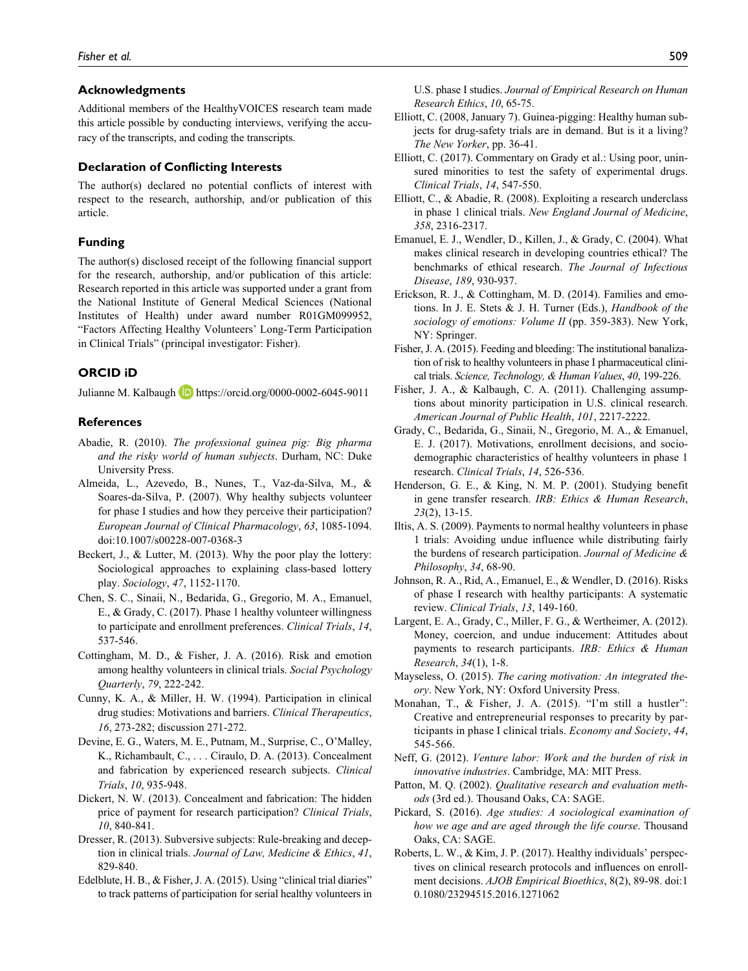#### **Acknowledgments**

Additional members of the HealthyVOICES research team made this article possible by conducting interviews, verifying the accuracy of the transcripts, and coding the transcripts.

#### **Declaration of Conflicting Interests**

The author(s) declared no potential conflicts of interest with respect to the research, authorship, and/or publication of this article.

## **Funding**

The author(s) disclosed receipt of the following financial support for the research, authorship, and/or publication of this article: Research reported in this article was supported under a grant from the National Institute of General Medical Sciences (National Institutes of Health) under award number R01GM099952, "Factors Affecting Healthy Volunteers' Long-Term Participation in Clinical Trials" (principal investigator: Fisher).

## **ORCID iD**

Julianne M. Kalbaugh **D** <https://orcid.org/0000-0002-6045-9011>

#### **References**

- Abadie, R. (2010). *The professional guinea pig: Big pharma and the risky world of human subjects*. Durham, NC: Duke University Press.
- Almeida, L., Azevedo, B., Nunes, T., Vaz-da-Silva, M., & Soares-da-Silva, P. (2007). Why healthy subjects volunteer for phase I studies and how they perceive their participation? *European Journal of Clinical Pharmacology*, *63*, 1085-1094. doi:10.1007/s00228-007-0368-3
- Beckert, J., & Lutter, M. (2013). Why the poor play the lottery: Sociological approaches to explaining class-based lottery play. *Sociology*, *47*, 1152-1170.
- Chen, S. C., Sinaii, N., Bedarida, G., Gregorio, M. A., Emanuel, E., & Grady, C. (2017). Phase 1 healthy volunteer willingness to participate and enrollment preferences. *Clinical Trials*, *14*, 537-546.
- Cottingham, M. D., & Fisher, J. A. (2016). Risk and emotion among healthy volunteers in clinical trials. *Social Psychology Quarterly*, *79*, 222-242.
- Cunny, K. A., & Miller, H. W. (1994). Participation in clinical drug studies: Motivations and barriers. *Clinical Therapeutics*, *16*, 273-282; discussion 271-272.
- Devine, E. G., Waters, M. E., Putnam, M., Surprise, C., O'Malley, K., Richambault, C., . . . Ciraulo, D. A. (2013). Concealment and fabrication by experienced research subjects. *Clinical Trials*, *10*, 935-948.
- Dickert, N. W. (2013). Concealment and fabrication: The hidden price of payment for research participation? *Clinical Trials*, *10*, 840-841.
- Dresser, R. (2013). Subversive subjects: Rule-breaking and deception in clinical trials. *Journal of Law, Medicine & Ethics*, *41*, 829-840.
- Edelblute, H. B., & Fisher, J. A. (2015). Using "clinical trial diaries" to track patterns of participation for serial healthy volunteers in

U.S. phase I studies. *Journal of Empirical Research on Human Research Ethics*, *10*, 65-75.

- Elliott, C. (2008, January 7). Guinea-pigging: Healthy human subjects for drug-safety trials are in demand. But is it a living? *The New Yorker*, pp. 36-41.
- Elliott, C. (2017). Commentary on Grady et al.: Using poor, uninsured minorities to test the safety of experimental drugs. *Clinical Trials*, *14*, 547-550.
- Elliott, C., & Abadie, R. (2008). Exploiting a research underclass in phase 1 clinical trials. *New England Journal of Medicine*, *358*, 2316-2317.
- Emanuel, E. J., Wendler, D., Killen, J., & Grady, C. (2004). What makes clinical research in developing countries ethical? The benchmarks of ethical research. *The Journal of Infectious Disease*, *189*, 930-937.
- Erickson, R. J., & Cottingham, M. D. (2014). Families and emotions. In J. E. Stets & J. H. Turner (Eds.), *Handbook of the sociology of emotions: Volume II* (pp. 359-383). New York, NY: Springer.
- Fisher, J. A. (2015). Feeding and bleeding: The institutional banalization of risk to healthy volunteers in phase I pharmaceutical clinical trials. *Science, Technology, & Human Values*, *40*, 199-226.
- Fisher, J. A., & Kalbaugh, C. A. (2011). Challenging assumptions about minority participation in U.S. clinical research. *American Journal of Public Health*, *101*, 2217-2222.
- Grady, C., Bedarida, G., Sinaii, N., Gregorio, M. A., & Emanuel, E. J. (2017). Motivations, enrollment decisions, and sociodemographic characteristics of healthy volunteers in phase 1 research. *Clinical Trials*, *14*, 526-536.
- Henderson, G. E., & King, N. M. P. (2001). Studying benefit in gene transfer research. *IRB: Ethics & Human Research*, *23*(2), 13-15.
- Iltis, A. S. (2009). Payments to normal healthy volunteers in phase 1 trials: Avoiding undue influence while distributing fairly the burdens of research participation. *Journal of Medicine & Philosophy*, *34*, 68-90.
- Johnson, R. A., Rid, A., Emanuel, E., & Wendler, D. (2016). Risks of phase I research with healthy participants: A systematic review. *Clinical Trials*, *13*, 149-160.
- Largent, E. A., Grady, C., Miller, F. G., & Wertheimer, A. (2012). Money, coercion, and undue inducement: Attitudes about payments to research participants. *IRB: Ethics & Human Research*, *34*(1), 1-8.
- Mayseless, O. (2015). *The caring motivation: An integrated theory*. New York, NY: Oxford University Press.
- Monahan, T., & Fisher, J. A. (2015). "I'm still a hustler": Creative and entrepreneurial responses to precarity by participants in phase I clinical trials. *Economy and Society*, *44*, 545-566.
- Neff, G. (2012). *Venture labor: Work and the burden of risk in innovative industries*. Cambridge, MA: MIT Press.
- Patton, M. Q. (2002). *Qualitative research and evaluation methods* (3rd ed.). Thousand Oaks, CA: SAGE.
- Pickard, S. (2016). *Age studies: A sociological examination of how we age and are aged through the life course*. Thousand Oaks, CA: SAGE.
- Roberts, L. W., & Kim, J. P. (2017). Healthy individuals' perspectives on clinical research protocols and influences on enrollment decisions. *AJOB Empirical Bioethics*, 8(2), 89-98. doi:1 0.1080/23294515.2016.1271062